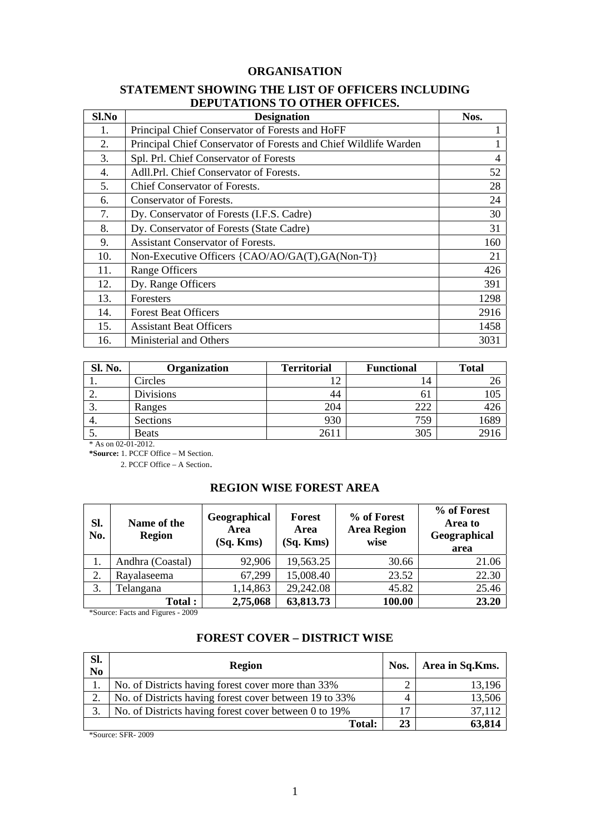### **ORGANISATION**

### **STATEMENT SHOWING THE LIST OF OFFICERS INCLUDING DEPUTATIONS TO OTHER OFFICES.**

| Sl.No | <b>Designation</b>                                               | Nos.           |
|-------|------------------------------------------------------------------|----------------|
| 1.    | Principal Chief Conservator of Forests and HoFF                  |                |
| 2.    | Principal Chief Conservator of Forests and Chief Wildlife Warden |                |
| 3.    | Spl. Prl. Chief Conservator of Forests                           | $\overline{4}$ |
| 4.    | Adll.Prl. Chief Conservator of Forests.                          | 52             |
| 5.    | Chief Conservator of Forests.                                    | 28             |
| 6.    | Conservator of Forests.                                          | 24             |
| 7.    | Dy. Conservator of Forests (I.F.S. Cadre)                        | 30             |
| 8.    | Dy. Conservator of Forests (State Cadre)                         | 31             |
| 9.    | <b>Assistant Conservator of Forests.</b>                         | 160            |
| 10.   | Non-Executive Officers {CAO/AO/GA(T),GA(Non-T)}                  | 21             |
| 11.   | <b>Range Officers</b>                                            | 426            |
| 12.   | Dy. Range Officers                                               | 391            |
| 13.   | <b>Foresters</b>                                                 | 1298           |
| 14.   | <b>Forest Beat Officers</b>                                      | 2916           |
| 15.   | <b>Assistant Beat Officers</b>                                   | 1458           |
| 16.   | Ministerial and Others                                           | 3031           |

| Sl. No.  | Organization | <b>Territorial</b> | <b>Functional</b> | <b>Total</b> |
|----------|--------------|--------------------|-------------------|--------------|
|          | Circles      |                    | 14                |              |
| <u>.</u> | Divisions    | 44                 | O J               | 105          |
| J.       | Ranges       | 204                | 222               | 426          |
| 4.       | Sections     | 930                | 759               | 1689         |
| J.       | <b>Beats</b> | 261                | 305               | 2916         |

\* As on 02-01-2012.

**\*Source:** 1. PCCF Office – M Section.

2. PCCF Office – A Section.

## **REGION WISE FOREST AREA**

| Sl.<br>No. | Name of the<br><b>Region</b> | Geographical<br>Area<br>$(Sq.$ Kms $)$ | <b>Forest</b><br>Area<br>$(Sq.$ Kms $)$ | % of Forest<br><b>Area Region</b><br>wise | % of Forest<br>Area to<br>Geographical<br>area |
|------------|------------------------------|----------------------------------------|-----------------------------------------|-------------------------------------------|------------------------------------------------|
| 1.         | Andhra (Coastal)             | 92,906                                 | 19,563.25                               | 30.66                                     | 21.06                                          |
| 2.         | Rayalaseema                  | 67,299                                 | 15,008.40                               | 23.52                                     | 22.30                                          |
| 3.         | Telangana                    | 1,14,863                               | 29,242.08                               | 45.82                                     | 25.46                                          |
|            | <b>Total:</b>                | 2,75,068                               | 63,813.73                               | 100.00                                    | 23.20                                          |

\*Source: Facts and Figures - 2009

## **FOREST COVER – DISTRICT WISE**

| Sl.<br>N <sub>o</sub> | <b>Region</b>                                          | Nos. | Area in Sq.Kms. |
|-----------------------|--------------------------------------------------------|------|-----------------|
|                       | No. of Districts having forest cover more than 33%     |      | 13,196          |
| $\gamma$              | No. of Districts having forest cover between 19 to 33% |      | 13,506          |
| 3.                    | No. of Districts having forest cover between 0 to 19%  |      | 37,112          |
|                       | <b>Total:</b>                                          | 23   | 63,814          |

\*Source: SFR- 2009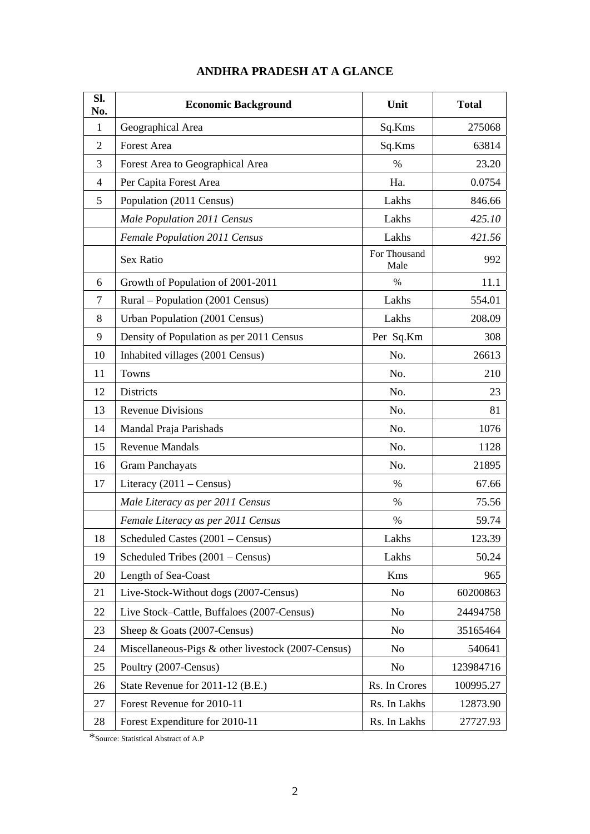| Sl.<br>No.     | <b>Economic Background</b>                         | Unit                 | <b>Total</b> |
|----------------|----------------------------------------------------|----------------------|--------------|
| $\mathbf{1}$   | Geographical Area                                  | Sq.Kms               | 275068       |
| $\overline{2}$ | <b>Forest Area</b>                                 | Sq.Kms               | 63814        |
| 3              | Forest Area to Geographical Area                   | %                    | 23.20        |
| 4              | Per Capita Forest Area                             | Ha.                  | 0.0754       |
| 5              | Population (2011 Census)                           | Lakhs                | 846.66       |
|                | Male Population 2011 Census                        | Lakhs                | 425.10       |
|                | Female Population 2011 Census                      | Lakhs                | 421.56       |
|                | Sex Ratio                                          | For Thousand<br>Male | 992          |
| 6              | Growth of Population of 2001-2011                  | $\%$                 | 11.1         |
| 7              | Rural – Population (2001 Census)                   | Lakhs                | 554.01       |
| 8              | Urban Population (2001 Census)                     | Lakhs                | 208.09       |
| 9              | Density of Population as per 2011 Census           | Per Sq.Km            | 308          |
| 10             | Inhabited villages (2001 Census)                   | No.                  | 26613        |
| 11             | Towns                                              | No.                  | 210          |
| 12             | <b>Districts</b>                                   | No.                  | 23           |
| 13             | <b>Revenue Divisions</b>                           | No.                  | 81           |
| 14             | Mandal Praja Parishads                             | No.                  | 1076         |
| 15             | <b>Revenue Mandals</b>                             | No.                  | 1128         |
| 16             | <b>Gram Panchayats</b>                             | No.                  | 21895        |
| 17             | Literacy $(2011 - Census)$                         | $\%$                 | 67.66        |
|                | Male Literacy as per 2011 Census                   | $\%$                 | 75.56        |
|                | Female Literacy as per 2011 Census                 | $\%$                 | 59.74        |
| 18             | Scheduled Castes (2001 - Census)                   | Lakhs                | 123.39       |
| 19             | Scheduled Tribes (2001 – Census)                   | Lakhs                | 50.24        |
| 20             | Length of Sea-Coast                                | Kms                  | 965          |
| 21             | Live-Stock-Without dogs (2007-Census)              | No                   | 60200863     |
| 22             | Live Stock-Cattle, Buffaloes (2007-Census)         | N <sub>o</sub>       | 24494758     |
| 23             | Sheep & Goats (2007-Census)                        | No                   | 35165464     |
| 24             | Miscellaneous-Pigs & other livestock (2007-Census) | N <sub>o</sub>       | 540641       |
| 25             | Poultry (2007-Census)                              | N <sub>o</sub>       | 123984716    |
| 26             | State Revenue for 2011-12 (B.E.)                   | Rs. In Crores        | 100995.27    |
| 27             | Forest Revenue for 2010-11                         | Rs. In Lakhs         | 12873.90     |
| 28             | Forest Expenditure for 2010-11                     | Rs. In Lakhs         | 27727.93     |

## **ANDHRA PRADESH AT A GLANCE**

\*Source: Statistical Abstract of A.P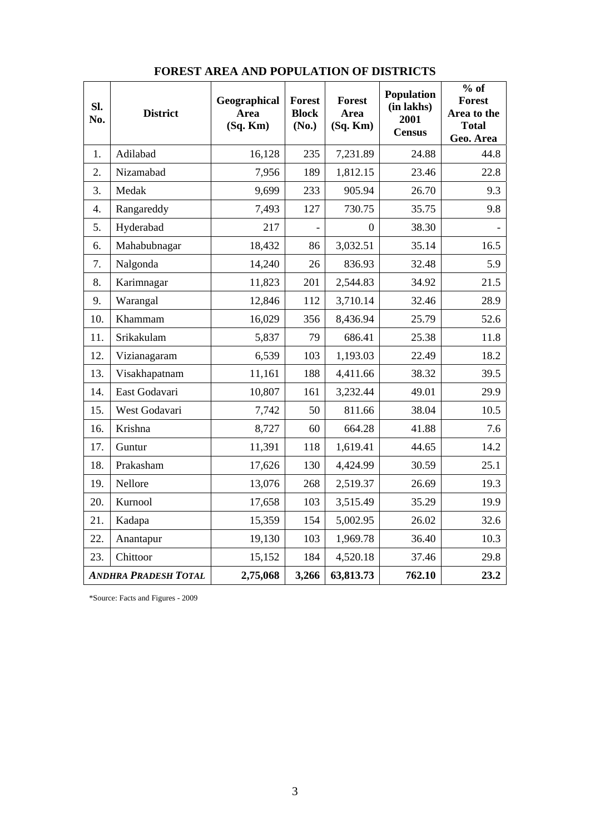| Sl.<br>No. | <b>District</b>             | Geographical<br><b>Area</b><br>$(Sq.$ Km $)$ | <b>Forest</b><br><b>Block</b><br>(No.) | <b>Forest</b><br>Area<br>$(Sq.$ Km $)$ | <b>Population</b><br>(in lakhs)<br>2001<br><b>Census</b> | $\overline{\frac{6}{}}$ of<br><b>Forest</b><br>Area to the<br><b>Total</b><br>Geo. Area |
|------------|-----------------------------|----------------------------------------------|----------------------------------------|----------------------------------------|----------------------------------------------------------|-----------------------------------------------------------------------------------------|
| 1.         | Adilabad                    | 16,128                                       | 235                                    | 7,231.89                               | 24.88                                                    | 44.8                                                                                    |
| 2.         | Nizamabad                   | 7,956                                        | 189                                    | 1,812.15                               | 23.46                                                    | 22.8                                                                                    |
| 3.         | Medak                       | 9,699                                        | 233                                    | 905.94                                 | 26.70                                                    | 9.3                                                                                     |
| 4.         | Rangareddy                  | 7,493                                        | 127                                    | 730.75                                 | 35.75                                                    | 9.8                                                                                     |
| 5.         | Hyderabad                   | 217                                          |                                        | $\Omega$                               | 38.30                                                    |                                                                                         |
| 6.         | Mahabubnagar                | 18,432                                       | 86                                     | 3,032.51                               | 35.14                                                    | 16.5                                                                                    |
| 7.         | Nalgonda                    | 14,240                                       | 26                                     | 836.93                                 | 32.48                                                    | 5.9                                                                                     |
| 8.         | Karimnagar                  | 11,823                                       | 201                                    | 2,544.83                               | 34.92                                                    | 21.5                                                                                    |
| 9.         | Warangal                    | 12,846                                       | 112                                    | 3,710.14                               | 32.46                                                    | 28.9                                                                                    |
| 10.        | Khammam                     | 16,029                                       | 356                                    | 8,436.94                               | 25.79                                                    | 52.6                                                                                    |
| 11.        | Srikakulam                  | 5,837                                        | 79                                     | 686.41                                 | 25.38                                                    | 11.8                                                                                    |
| 12.        | Vizianagaram                | 6,539                                        | 103                                    | 1,193.03                               | 22.49                                                    | 18.2                                                                                    |
| 13.        | Visakhapatnam               | 11,161                                       | 188                                    | 4,411.66                               | 38.32                                                    | 39.5                                                                                    |
| 14.        | East Godavari               | 10,807                                       | 161                                    | 3,232.44                               | 49.01                                                    | 29.9                                                                                    |
| 15.        | West Godavari               | 7,742                                        | 50                                     | 811.66                                 | 38.04                                                    | 10.5                                                                                    |
| 16.        | Krishna                     | 8,727                                        | 60                                     | 664.28                                 | 41.88                                                    | 7.6                                                                                     |
| 17.        | Guntur                      | 11,391                                       | 118                                    | 1,619.41                               | 44.65                                                    | 14.2                                                                                    |
| 18.        | Prakasham                   | 17,626                                       | 130                                    | 4,424.99                               | 30.59                                                    | 25.1                                                                                    |
| 19.        | Nellore                     | 13,076                                       | 268                                    | 2,519.37                               | 26.69                                                    | 19.3                                                                                    |
| 20.        | Kurnool                     | 17,658                                       | 103                                    | 3,515.49                               | 35.29                                                    | 19.9                                                                                    |
| 21.        | Kadapa                      | 15,359                                       | 154                                    | 5,002.95                               | 26.02                                                    | 32.6                                                                                    |
| 22.        | Anantapur                   | 19,130                                       | 103                                    | 1,969.78                               | 36.40                                                    | 10.3                                                                                    |
| 23.        | Chittoor                    | 15,152                                       | 184                                    | 4,520.18                               | 37.46                                                    | 29.8                                                                                    |
|            | <b>ANDHRA PRADESH TOTAL</b> | 2,75,068                                     | 3,266                                  | 63,813.73                              | 762.10                                                   | 23.2                                                                                    |

## **FOREST AREA AND POPULATION OF DISTRICTS**

\*Source: Facts and Figures - 2009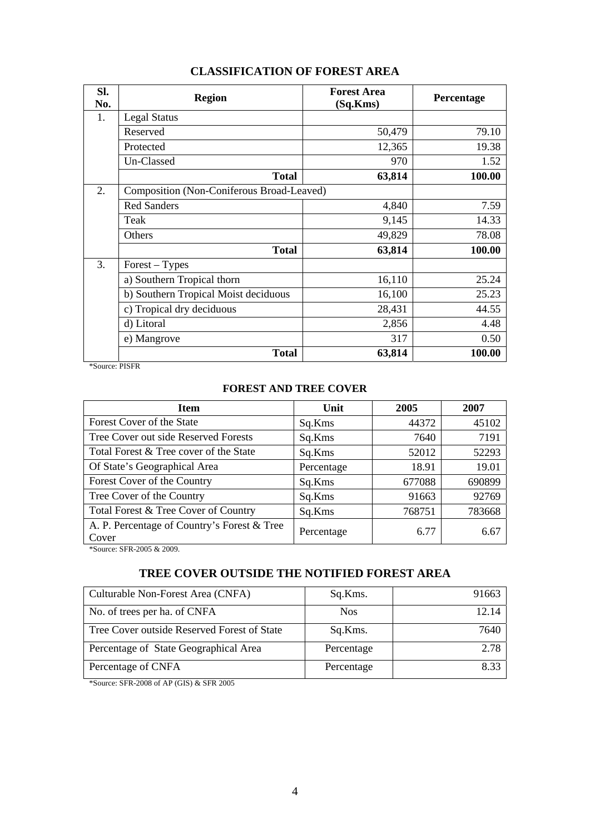| Sl.<br>No. | <b>Region</b>                             | <b>Forest Area</b><br>(Sq.Kms) | Percentage |
|------------|-------------------------------------------|--------------------------------|------------|
| 1.         | <b>Legal Status</b>                       |                                |            |
|            | Reserved                                  | 50,479                         | 79.10      |
|            | Protected                                 | 12,365                         | 19.38      |
|            | Un-Classed                                | 970                            | 1.52       |
|            | <b>Total</b>                              | 63,814                         | 100.00     |
| 2.         | Composition (Non-Coniferous Broad-Leaved) |                                |            |
|            | <b>Red Sanders</b>                        | 4,840                          | 7.59       |
|            | Teak                                      | 9,145                          | 14.33      |
|            | Others                                    | 49,829                         | 78.08      |
|            | <b>Total</b>                              | 63,814                         | 100.00     |
| 3.         | Forest - Types                            |                                |            |
|            | a) Southern Tropical thorn                | 16,110                         | 25.24      |
|            | b) Southern Tropical Moist deciduous      | 16,100                         | 25.23      |
|            | c) Tropical dry deciduous                 | 28,431                         | 44.55      |
|            | d) Litoral                                | 2,856                          | 4.48       |
|            | e) Mangrove                               | 317                            | 0.50       |
|            | <b>Total</b>                              | 63,814                         | 100.00     |

## **CLASSIFICATION OF FOREST AREA**

\*Source: PISFR

## **FOREST AND TREE COVER**

| <b>Item</b>                                          | Unit       | 2005   | 2007   |
|------------------------------------------------------|------------|--------|--------|
| Forest Cover of the State                            | Sq.Kms     | 44372  | 45102  |
| Tree Cover out side Reserved Forests                 | Sq.Kms     | 7640   | 7191   |
| Total Forest & Tree cover of the State               | Sq.Kms     | 52012  | 52293  |
| Of State's Geographical Area                         | Percentage | 18.91  | 19.01  |
| Forest Cover of the Country                          | Sq.Kms     | 677088 | 690899 |
| Tree Cover of the Country                            | Sq.Kms     | 91663  | 92769  |
| Total Forest & Tree Cover of Country                 | Sq.Kms     | 768751 | 783668 |
| A. P. Percentage of Country's Forest & Tree<br>Cover | Percentage | 6.77   | 6.67   |

\*Source: SFR-2005 & 2009.

# **TREE COVER OUTSIDE THE NOTIFIED FOREST AREA**

| Culturable Non-Forest Area (CNFA)           | Sq.Kms.    | 91663 |
|---------------------------------------------|------------|-------|
| No. of trees per ha. of CNFA                | <b>Nos</b> | 12.14 |
| Tree Cover outside Reserved Forest of State | Sq.Kms.    | 7640  |
| Percentage of State Geographical Area       | Percentage | 2.78  |
| Percentage of CNFA                          | Percentage | 8.33  |

\*Source: SFR-2008 of AP (GIS) & SFR 2005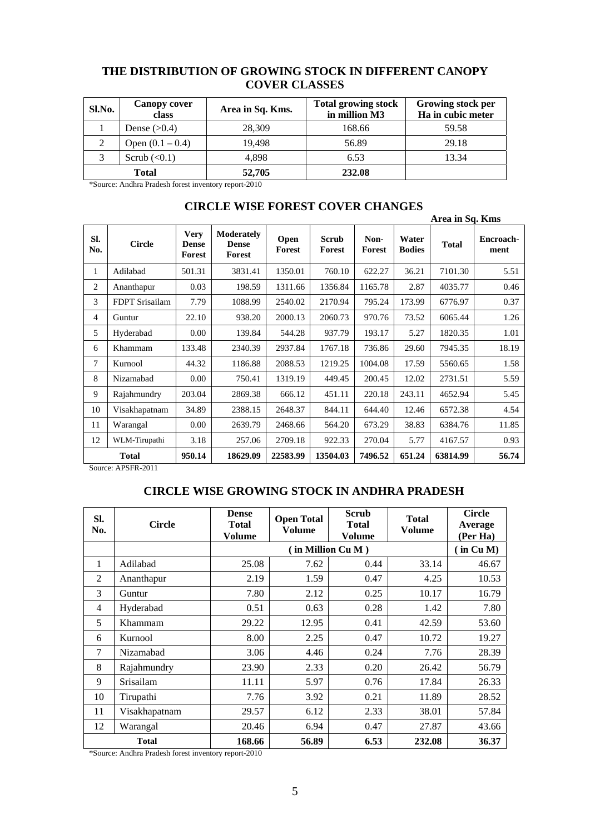## **THE DISTRIBUTION OF GROWING STOCK IN DIFFERENT CANOPY COVER CLASSES**

| Sl.No. | <b>Canopy cover</b><br>class | Area in Sq. Kms. | <b>Total growing stock</b><br>in million M3 | Growing stock per<br>Ha in cubic meter |
|--------|------------------------------|------------------|---------------------------------------------|----------------------------------------|
|        | Dense $(>0.4)$               | 28,309           | 168.66                                      | 59.58                                  |
|        | Open $(0.1 - 0.4)$           | 19.498           | 56.89                                       | 29.18                                  |
|        | Scrub $(0.1)$                | 4,898            | 6.53                                        | 13.34                                  |
|        | <b>Total</b>                 | 52,705           | 232.08                                      |                                        |

\*Source: Andhra Pradesh forest inventory report-2010

|            | INCLID WIDLE ONLY LOVEN CHANGLE |                                       |                                      |                |                        |                |                        | Area in Sq. Kms |                   |
|------------|---------------------------------|---------------------------------------|--------------------------------------|----------------|------------------------|----------------|------------------------|-----------------|-------------------|
| SI.<br>No. | <b>Circle</b>                   | <b>Very</b><br><b>Dense</b><br>Forest | Moderately<br><b>Dense</b><br>Forest | Open<br>Forest | <b>Scrub</b><br>Forest | Non-<br>Forest | Water<br><b>Bodies</b> | <b>Total</b>    | Encroach-<br>ment |
| 1          | Adilabad                        | 501.31                                | 3831.41                              | 1350.01        | 760.10                 | 622.27         | 36.21                  | 7101.30         | 5.51              |
| 2          | Ananthapur                      | 0.03                                  | 198.59                               | 1311.66        | 1356.84                | 1165.78        | 2.87                   | 4035.77         | 0.46              |
| 3          | FDPT Srisailam                  | 7.79                                  | 1088.99                              | 2540.02        | 2170.94                | 795.24         | 173.99                 | 6776.97         | 0.37              |
| 4          | Guntur                          | 22.10                                 | 938.20                               | 2000.13        | 2060.73                | 970.76         | 73.52                  | 6065.44         | 1.26              |
| 5          | Hyderabad                       | 0.00                                  | 139.84                               | 544.28         | 937.79                 | 193.17         | 5.27                   | 1820.35         | 1.01              |
| 6          | Khammam                         | 133.48                                | 2340.39                              | 2937.84        | 1767.18                | 736.86         | 29.60                  | 7945.35         | 18.19             |
| 7          | Kurnool                         | 44.32                                 | 1186.88                              | 2088.53        | 1219.25                | 1004.08        | 17.59                  | 5560.65         | 1.58              |
| 8          | Nizamabad                       | 0.00                                  | 750.41                               | 1319.19        | 449.45                 | 200.45         | 12.02                  | 2731.51         | 5.59              |
| 9          | Rajahmundry                     | 203.04                                | 2869.38                              | 666.12         | 451.11                 | 220.18         | 243.11                 | 4652.94         | 5.45              |
| 10         | Visakhapatnam                   | 34.89                                 | 2388.15                              | 2648.37        | 844.11                 | 644.40         | 12.46                  | 6572.38         | 4.54              |
| 11         | Warangal                        | 0.00                                  | 2639.79                              | 2468.66        | 564.20                 | 673.29         | 38.83                  | 6384.76         | 11.85             |
| 12         | WLM-Tirupathi                   | 3.18                                  | 257.06                               | 2709.18        | 922.33                 | 270.04         | 5.77                   | 4167.57         | 0.93              |
|            | <b>Total</b>                    | 950.14                                | 18629.09                             | 22583.99       | 13504.03               | 7496.52        | 651.24                 | 63814.99        | 56.74             |

## **CIRCLE WISE FOREST COVER CHANGES**

Source: APSFR-2011

## **CIRCLE WISE GROWING STOCK IN ANDHRA PRADESH**

| SI.<br>No.     | <b>Circle</b>    | <b>Dense</b><br><b>Total</b><br>Volume | <b>Scrub</b><br><b>Open Total</b><br><b>Total</b><br><b>Volume</b><br>Volume |      | <b>Total</b><br><b>Volume</b> | <b>Circle</b><br>Average<br>(Per Ha) |  |  |
|----------------|------------------|----------------------------------------|------------------------------------------------------------------------------|------|-------------------------------|--------------------------------------|--|--|
|                |                  |                                        | (in Million Cu M)                                                            |      |                               |                                      |  |  |
| 1              | Adilabad         | 25.08                                  | 7.62                                                                         | 0.44 | 33.14                         | 46.67                                |  |  |
| 2              | Ananthapur       | 2.19                                   | 1.59                                                                         | 0.47 | 4.25                          | 10.53                                |  |  |
| 3              | Guntur           | 7.80                                   | 2.12                                                                         | 0.25 | 10.17                         | 16.79                                |  |  |
| $\overline{4}$ | Hyderabad        | 0.51                                   | 0.63                                                                         | 0.28 | 1.42                          | 7.80                                 |  |  |
| 5              | Khammam          | 29.22                                  | 12.95                                                                        | 0.41 | 42.59                         | 53.60                                |  |  |
| 6              | Kurnool          | 8.00                                   | 2.25                                                                         | 0.47 | 10.72                         | 19.27                                |  |  |
| 7              | Nizamabad        | 3.06                                   | 4.46                                                                         | 0.24 | 7.76                          | 28.39                                |  |  |
| 8              | Rajahmundry      | 23.90                                  | 2.33                                                                         | 0.20 | 26.42                         | 56.79                                |  |  |
| 9              | <b>Srisailam</b> | 11.11                                  | 5.97                                                                         | 0.76 | 17.84                         | 26.33                                |  |  |
| 10             | Tirupathi        | 7.76                                   | 3.92                                                                         | 0.21 | 11.89                         | 28.52                                |  |  |
| 11             | Visakhapatnam    | 29.57                                  | 6.12                                                                         | 2.33 | 38.01                         | 57.84                                |  |  |
| 12             | Warangal         | 20.46                                  | 6.94                                                                         | 0.47 | 27.87                         | 43.66                                |  |  |
|                | <b>Total</b>     | 168.66                                 | 56.89                                                                        | 6.53 | 232.08                        | 36.37                                |  |  |

\*Source: Andhra Pradesh forest inventory report-2010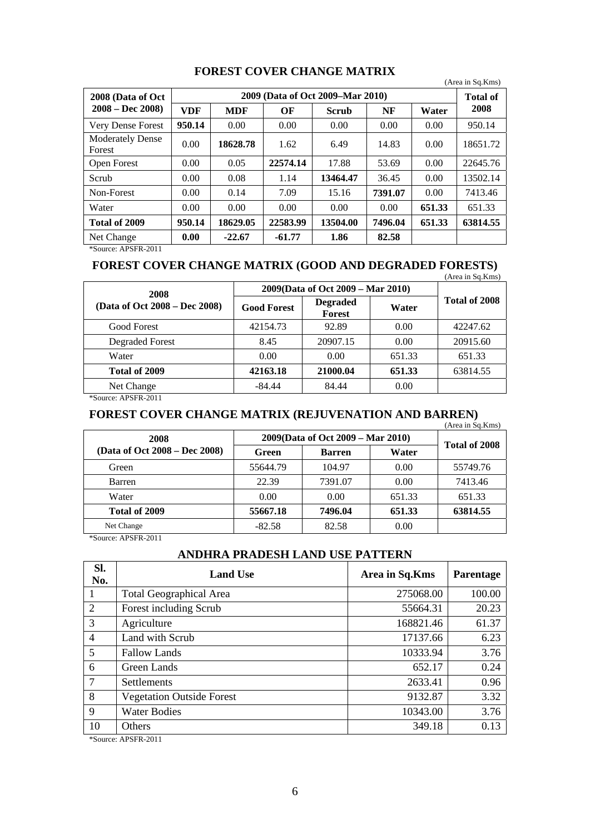|  | <b>FOREST COVER CHANGE MATRIX</b> |
|--|-----------------------------------|
|--|-----------------------------------|

|                                   |            |                  |          |                                  |         |        | (Area in Sq.Kms) |
|-----------------------------------|------------|------------------|----------|----------------------------------|---------|--------|------------------|
| 2008 (Data of Oct)                |            |                  |          | 2009 (Data of Oct 2009–Mar 2010) |         |        | <b>Total of</b>  |
| $2008 - Dec 2008$                 | <b>VDF</b> | OF<br><b>MDF</b> |          | <b>Scrub</b>                     | NF      | Water  | 2008             |
| Very Dense Forest                 | 950.14     | 0.00             | 0.00     | 0.00                             | 0.00    | 0.00   | 950.14           |
| <b>Moderately Dense</b><br>Forest | 0.00       | 18628.78         | 1.62     | 6.49                             | 14.83   | 0.00   | 18651.72         |
| Open Forest                       | 0.00       | 0.05             | 22574.14 | 17.88                            | 53.69   | 0.00   | 22645.76         |
| Scrub                             | 0.00       | 0.08             | 1.14     | 13464.47                         | 36.45   | 0.00   | 13502.14         |
| Non-Forest                        | 0.00       | 0.14             | 7.09     | 15.16                            | 7391.07 | 0.00   | 7413.46          |
| Water                             | 0.00       | 0.00             | 0.00     | 0.00                             | 0.00    | 651.33 | 651.33           |
| Total of 2009                     | 950.14     | 18629.05         | 22583.99 | 13504.00                         | 7496.04 | 651.33 | 63814.55         |
| Net Change                        | 0.00       | $-22.67$         | $-61.77$ | 1.86                             | 82.58   |        |                  |

\*Source: APSFR-2011

#### **FOREST COVER CHANGE MATRIX (GOOD AND DEGRADED FORESTS)**   $(Area in Sa.Kms)$

| 2008                          | 2009(Data of Oct 2009 – Mar 2010) | $(2 \text{m} \alpha \text{m} \beta \text{m} \alpha)$ |        |               |  |
|-------------------------------|-----------------------------------|------------------------------------------------------|--------|---------------|--|
| (Data of Oct 2008 – Dec 2008) | <b>Good Forest</b>                | <b>Degraded</b><br><b>Forest</b>                     | Water  | Total of 2008 |  |
| Good Forest                   | 42154.73                          | 92.89                                                | 0.00   | 42247.62      |  |
| Degraded Forest               | 8.45                              | 20907.15                                             | 0.00   | 20915.60      |  |
| Water                         | 0.00                              | $0.00^{\circ}$                                       | 651.33 | 651.33        |  |
| Total of 2009                 | 42163.18                          | 21000.04                                             | 651.33 | 63814.55      |  |
| Net Change                    | $-84.44$                          | 84.44                                                | 0.00   |               |  |

\*Source: APSFR-2011

## **FOREST COVER CHANGE MATRIX (REJUVENATION AND BARREN)**

|                               |          |                                   |        | (Area in Sq.Kms) |
|-------------------------------|----------|-----------------------------------|--------|------------------|
| 2008                          |          | 2009(Data of Oct 2009 – Mar 2010) |        | Total of 2008    |
| (Data of Oct 2008 – Dec 2008) | Green    | <b>Barren</b>                     | Water  |                  |
| Green                         | 55644.79 | 104.97                            | 0.00   | 55749.76         |
| Barren                        | 22.39    | 7391.07                           | 0.00   | 7413.46          |
| Water                         | 0.00     | 0.00                              | 651.33 | 651.33           |
| Total of 2009                 | 55667.18 | 7496.04                           | 651.33 | 63814.55         |
| Net Change                    | $-82.58$ | 82.58                             | 0.00   |                  |

\*Source: APSFR-2011

### **ANDHRA PRADESH LAND USE PATTERN**

| Sl.<br>No.      | <b>Land Use</b>                  | Area in Sq.Kms | <b>Parentage</b> |
|-----------------|----------------------------------|----------------|------------------|
|                 | <b>Total Geographical Area</b>   | 275068.00      | 100.00           |
| 2               | Forest including Scrub           | 55664.31       | 20.23            |
| 3               | Agriculture                      | 168821.46      | 61.37            |
| $\overline{4}$  | Land with Scrub                  | 17137.66       | 6.23             |
| 5               | <b>Fallow Lands</b>              | 10333.94       | 3.76             |
| 6               | Green Lands                      | 652.17         | 0.24             |
| $7\phantom{.0}$ | Settlements                      | 2633.41        | 0.96             |
| 8               | <b>Vegetation Outside Forest</b> | 9132.87        | 3.32             |
| 9               | <b>Water Bodies</b>              | 10343.00       | 3.76             |
| 10              | Others                           | 349.18         | 0.13             |

\*Source: APSFR-2011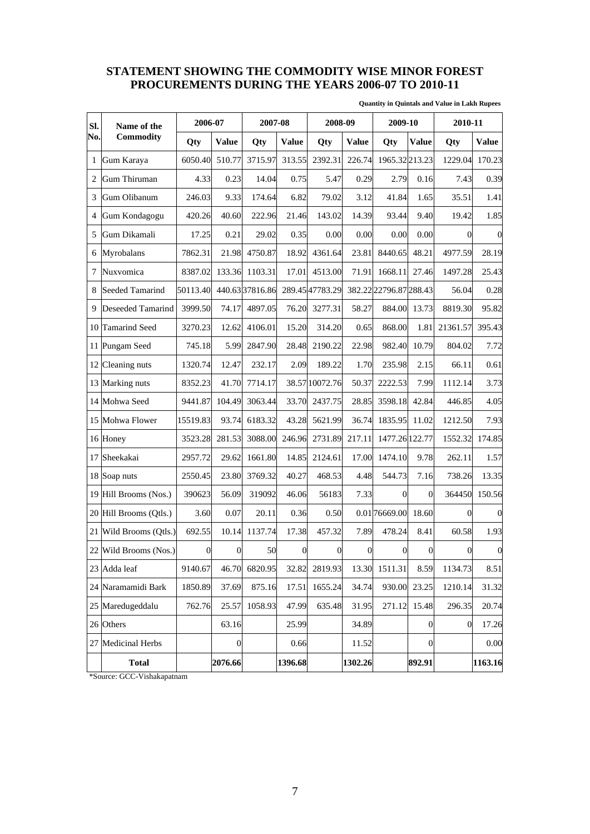## **STATEMENT SHOWING THE COMMODITY WISE MINOR FOREST PROCUREMENTS DURING THE YEARS 2006-07 TO 2010-11**

|  | <b>Quantity in Quintals and Value in Lakh Rupees</b> |  |  |  |
|--|------------------------------------------------------|--|--|--|
|--|------------------------------------------------------|--|--|--|

| SI.            | Name of the            | 2006-07          |                  |                | 2007-08<br>2008-09 |                 | 2009-10          |                        | 2010-11          |                  |              |
|----------------|------------------------|------------------|------------------|----------------|--------------------|-----------------|------------------|------------------------|------------------|------------------|--------------|
| No.            | <b>Commodity</b>       | Qty              | <b>Value</b>     | Qty            | <b>Value</b>       | Qty             | <b>Value</b>     | Qty                    | <b>Value</b>     | Qty              | <b>Value</b> |
| 1              | Gum Karaya             | 6050.40          | 510.77           | 3715.97        | 313.55             | 2392.31         | 226.74           | 1965.32213.23          |                  | 1229.04          | 170.23       |
| $\overline{2}$ | Gum Thiruman           | 4.33             | 0.23             | 14.04          | 0.75               | 5.47            | 0.29             | 2.79                   | 0.16             | 7.43             | 0.39         |
| 3              | Gum Olibanum           | 246.03           | 9.33             | 174.64         | 6.82               | 79.02           | 3.12             | 41.84                  | 1.65             | 35.51            | 1.41         |
| $\overline{4}$ | Gum Kondagogu          | 420.26           | 40.60            | 222.96         | 21.46              | 143.02          | 14.39            | 93.44                  | 9.40             | 19.42            | 1.85         |
| 5              | Gum Dikamali           | 17.25            | 0.21             | 29.02          | 0.35               | 0.00            | 0.00             | 0.00                   | 0.00             | $\Omega$         | $\mathbf 0$  |
| 6              | Myrobalans             | 7862.31          | 21.98            | 4750.87        | 18.92              | 4361.64         | 23.81            | 8440.65                | 48.21            | 4977.59          | 28.19        |
| 7              | Nuxvomica              | 8387.02          | 133.36           | 1103.31        | 17.01              | 4513.00         | 71.91            | 1668.11                | 27.46            | 1497.28          | 25.43        |
| 8              | <b>Seeded Tamarind</b> | 50113.40         |                  | 440.6337816.86 |                    | 289.45 47783.29 |                  | 382.22 22796.87 288.43 |                  | 56.04            | 0.28         |
| 9              | Deseeded Tamarind      | 3999.50          | 74.17            | 4897.05        | 76.20              | 3277.31         | 58.27            | 884.00                 | 13.73            | 8819.30          | 95.82        |
| 10             | <b>Tamarind Seed</b>   | 3270.23          | 12.62            | 4106.01        | 15.20              | 314.20          | 0.65             | 868.00                 | 1.81             | 21361.57         | 395.43       |
| 11             | Pungam Seed            | 745.18           | 5.99             | 2847.90        | 28.48              | 2190.22         | 22.98            | 982.40                 | 10.79            | 804.02           | 7.72         |
| 12             | Cleaning nuts          | 1320.74          | 12.47            | 232.17         | 2.09               | 189.22          | 1.70             | 235.98                 | 2.15             | 66.11            | 0.61         |
| 13             | Marking nuts           | 8352.23          | 41.70            | 7714.17        |                    | 38.57 10072.76  | 50.37            | 2222.53                | 7.99             | 1112.14          | 3.73         |
| 14             | Mohwa Seed             | 9441.87          | 104.49           | 3063.44        | 33.70              | 2437.75         | 28.85            | 3598.18                | 42.84            | 446.85           | 4.05         |
| 15             | Mohwa Flower           | 15519.83         | 93.74            | 6183.32        | 43.28              | 5621.99         | 36.74            | 1835.95                | 11.02            | 1212.50          | 7.93         |
|                | 16 Honey               | 3523.28          | 281.53           | 3088.00        | 246.96             | 2731.89         | 217.11           | 1477.26 122.77         |                  | 1552.32          | 174.85       |
| 17             | Sheekakai              | 2957.72          | 29.62            | 1661.80        | 14.85              | 2124.61         | 17.00            | 1474.10                | 9.78             | 262.11           | 1.57         |
| 18             | Soap nuts              | 2550.45          | 23.80            | 3769.32        | 40.27              | 468.53          | 4.48             | 544.73                 | 7.16             | 738.26           | 13.35        |
| 19             | Hill Brooms (Nos.)     | 390623           | 56.09            | 319092         | 46.06              | 56183           | 7.33             | $\overline{0}$         | $\Omega$         | 364450           | 150.56       |
| 20             | Hill Brooms (Otls.)    | 3.60             | 0.07             | 20.11          | 0.36               | 0.50            |                  | 0.01 76669.00          | 18.60            | 0                | $\mathbf 0$  |
| 21             | Wild Brooms (Qtls.)    | 692.55           | 10.14            | 1137.74        | 17.38              | 457.32          | 7.89             | 478.24                 | 8.41             | 60.58            | 1.93         |
|                | 22 Wild Brooms (Nos.)  | $\boldsymbol{0}$ | $\boldsymbol{0}$ | 50             | $\boldsymbol{0}$   | $\mathbf{0}$    | $\boldsymbol{0}$ | $\boldsymbol{0}$       | $\boldsymbol{0}$ | 0                | $\mathbf{0}$ |
|                | 23 Adda leaf           | 9140.67          | 46.70            | 6820.95        | 32.82              | 2819.93         |                  | 13.30 1511.31          | 8.59             | 1134.73          | 8.51         |
| 24             | Naramamidi Bark        | 1850.89          | 37.69            | 875.16         | 17.51              | 1655.24         | 34.74            | 930.00                 | 23.25            | 1210.14          | 31.32        |
|                | 25 Maredugeddalu       | 762.76           | 25.57            | 1058.93        | 47.99              | 635.48          | 31.95            | 271.12                 | 15.48            | 296.35           | 20.74        |
|                | 26 Others              |                  | 63.16            |                | 25.99              |                 | 34.89            |                        | $\boldsymbol{0}$ | $\boldsymbol{0}$ | 17.26        |
| 27             | <b>Medicinal Herbs</b> |                  | $\boldsymbol{0}$ |                | 0.66               |                 | 11.52            |                        | $\boldsymbol{0}$ |                  | 0.00         |
|                | <b>Total</b>           |                  | 2076.66          |                | 1396.68            |                 | 1302.26          |                        | 892.91           |                  | 1163.16      |

\*Source: GCC-Vishakapatnam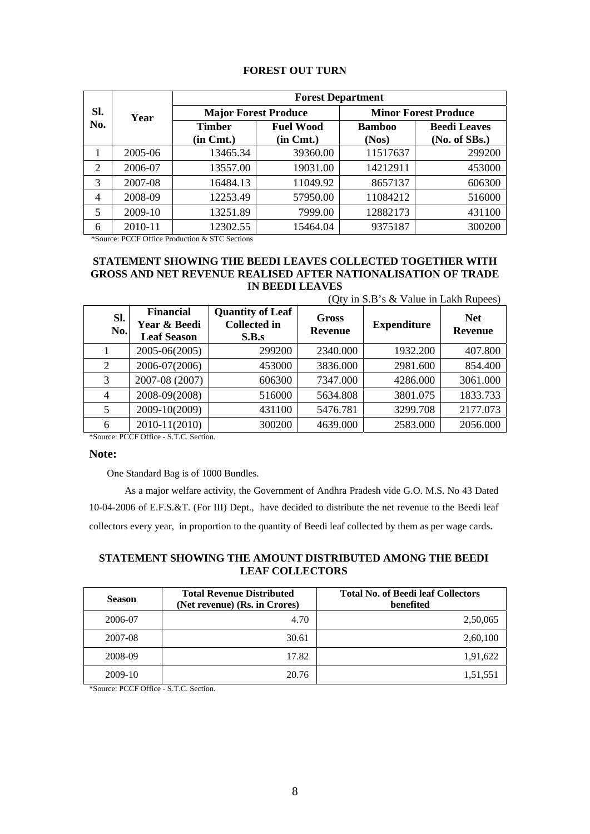| Sl.<br>No.     |         |                             | <b>Forest Department</b>           |                        |                                      |  |  |  |  |  |
|----------------|---------|-----------------------------|------------------------------------|------------------------|--------------------------------------|--|--|--|--|--|
|                | Year    | <b>Major Forest Produce</b> |                                    |                        | <b>Minor Forest Produce</b>          |  |  |  |  |  |
|                |         | Timber<br>$(in \, Cmt.)$    | <b>Fuel Wood</b><br>$(in \, Cmt.)$ | <b>Bamboo</b><br>(Nos) | <b>Beedi Leaves</b><br>(No. of SBs.) |  |  |  |  |  |
| 1              | 2005-06 | 13465.34                    | 39360.00                           | 11517637               | 299200                               |  |  |  |  |  |
| 2              | 2006-07 | 13557.00                    | 19031.00                           | 14212911               | 453000                               |  |  |  |  |  |
| 3              | 2007-08 | 16484.13                    | 11049.92                           | 8657137                | 606300                               |  |  |  |  |  |
| $\overline{4}$ | 2008-09 | 12253.49                    | 57950.00                           | 11084212               | 516000                               |  |  |  |  |  |
| 5              | 2009-10 | 13251.89                    | 7999.00                            | 12882173               | 431100                               |  |  |  |  |  |
| 6              | 2010-11 | 12302.55                    | 15464.04                           | 9375187                | 300200                               |  |  |  |  |  |

### **FOREST OUT TURN**

\*Source: PCCF Office Production & STC Sections

#### **STATEMENT SHOWING THE BEEDI LEAVES COLLECTED TOGETHER WITH GROSS AND NET REVENUE REALISED AFTER NATIONALISATION OF TRADE IN BEEDI LEAVES**  (Oty in  $S \times S$  Value in Lakh Rupees)

| Sl.<br>No.     | <b>Financial</b><br>Year & Beedi<br><b>Leaf Season</b> | <b>Quantity of Leaf</b><br><b>Collected</b> in<br>S.B.s | Gross<br><b>Revenue</b> | <b>Expenditure</b> | <b>Net</b><br><b>Revenue</b> |
|----------------|--------------------------------------------------------|---------------------------------------------------------|-------------------------|--------------------|------------------------------|
|                | 2005-06(2005)                                          | 299200                                                  | 2340.000                | 1932.200           | 407.800                      |
| 2              | 2006-07(2006)                                          | 453000                                                  | 3836.000                | 2981.600           | 854.400                      |
| 3              | 2007-08 (2007)                                         | 606300                                                  | 7347.000                | 4286.000           | 3061.000                     |
| $\overline{4}$ | 2008-09(2008)                                          | 516000                                                  | 5634.808                | 3801.075           | 1833.733                     |
| 5              | 2009-10(2009)                                          | 431100                                                  | 5476.781                | 3299.708           | 2177.073                     |
| 6              | 2010-11(2010)                                          | 300200                                                  | 4639.000                | 2583.000           | 2056.000                     |

\*Source: PCCF Office - S.T.C. Section.

#### **Note:**

One Standard Bag is of 1000 Bundles.

As a major welfare activity, the Government of Andhra Pradesh vide G.O. M.S. No 43 Dated 10-04-2006 of E.F.S.&T. (For III) Dept., have decided to distribute the net revenue to the Beedi leaf collectors every year, in proportion to the quantity of Beedi leaf collected by them as per wage cards.

### **STATEMENT SHOWING THE AMOUNT DISTRIBUTED AMONG THE BEEDI LEAF COLLECTORS**

| <b>Season</b> | <b>Total Revenue Distributed</b><br>(Net revenue) (Rs. in Crores) | <b>Total No. of Beedi leaf Collectors</b><br>benefited |
|---------------|-------------------------------------------------------------------|--------------------------------------------------------|
| 2006-07       | 4.70                                                              | 2,50,065                                               |
| 2007-08       | 30.61                                                             | 2,60,100                                               |
| 2008-09       | 17.82                                                             | 1,91,622                                               |
| 2009-10       | 20.76                                                             | 1,51,551                                               |

\*Source: PCCF Office - S.T.C. Section.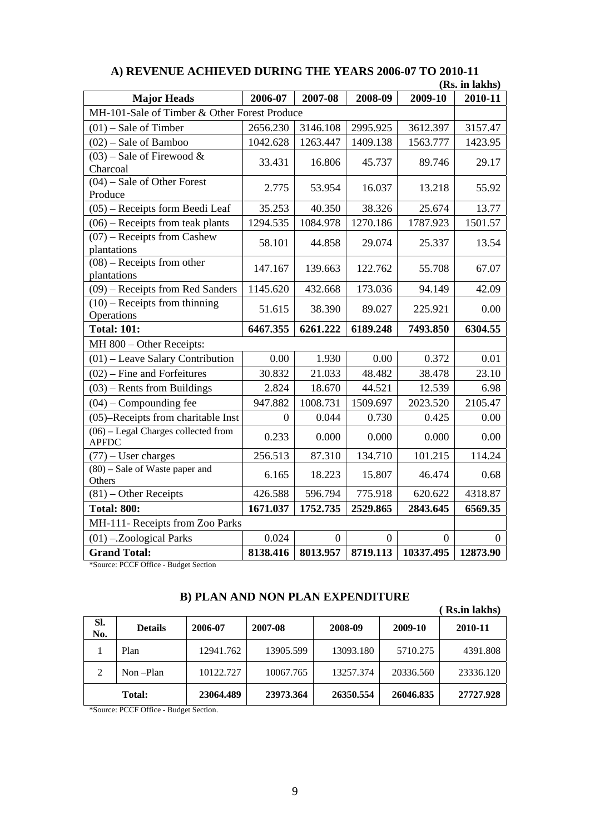|                                                       |          |                |                |           | (KS. In lakhs) |  |
|-------------------------------------------------------|----------|----------------|----------------|-----------|----------------|--|
| <b>Major Heads</b>                                    | 2006-07  | 2007-08        | 2008-09        | 2009-10   | 2010-11        |  |
| MH-101-Sale of Timber & Other Forest Produce          |          |                |                |           |                |  |
| $(01)$ – Sale of Timber                               | 2656.230 | 3146.108       | 2995.925       | 3612.397  | 3157.47        |  |
| $(02)$ – Sale of Bamboo                               | 1042.628 | 1263.447       | 1409.138       | 1563.777  | 1423.95        |  |
| $(03)$ – Sale of Firewood &<br>Charcoal               | 33.431   | 16.806         | 45.737         | 89.746    | 29.17          |  |
| $(04)$ – Sale of Other Forest<br>Produce              | 2.775    | 53.954         | 16.037         | 13.218    | 55.92          |  |
| (05) – Receipts form Beedi Leaf                       | 35.253   | 40.350         | 38.326         | 25.674    | 13.77          |  |
| $(06)$ – Receipts from teak plants                    | 1294.535 | 1084.978       | 1270.186       | 1787.923  | 1501.57        |  |
| $(07)$ – Receipts from Cashew<br>plantations          | 58.101   | 44.858         | 29.074         | 25.337    | 13.54          |  |
| $(08)$ – Receipts from other<br>plantations           | 147.167  | 139.663        | 122.762        | 55.708    | 67.07          |  |
| (09) – Receipts from Red Sanders                      | 1145.620 | 432.668        | 173.036        | 94.149    | 42.09          |  |
| $(10)$ – Receipts from thinning<br>Operations         | 51.615   | 38.390         | 89.027         | 225.921   | 0.00           |  |
| <b>Total: 101:</b>                                    | 6467.355 | 6261.222       | 6189.248       | 7493.850  | 6304.55        |  |
| MH 800 - Other Receipts:                              |          |                |                |           |                |  |
| $(01)$ – Leave Salary Contribution                    | 0.00     | 1.930          | 0.00           | 0.372     | 0.01           |  |
| $(02)$ – Fine and Forfeitures                         | 30.832   | 21.033         | 48.482         | 38.478    | 23.10          |  |
| $(03)$ – Rents from Buildings                         | 2.824    | 18.670         | 44.521         | 12.539    | 6.98           |  |
| $(04)$ – Compounding fee                              | 947.882  | 1008.731       | 1509.697       | 2023.520  | 2105.47        |  |
| (05)–Receipts from charitable Inst                    | $\theta$ | 0.044          | 0.730          | 0.425     | 0.00           |  |
| $(06)$ – Legal Charges collected from<br><b>APFDC</b> | 0.233    | 0.000          | 0.000          | 0.000     | 0.00           |  |
| $(77)$ – User charges                                 | 256.513  | 87.310         | 134.710        | 101.215   | 114.24         |  |
| $(80)$ – Sale of Waste paper and<br>Others            | 6.165    | 18.223         | 15.807         | 46.474    | 0.68           |  |
| $(81)$ – Other Receipts                               | 426.588  | 596.794        | 775.918        | 620.622   | 4318.87        |  |
| <b>Total: 800:</b>                                    | 1671.037 | 1752.735       | 2529.865       | 2843.645  | 6569.35        |  |
| MH-111- Receipts from Zoo Parks                       |          |                |                |           |                |  |
| $(01)$ -.Zoological Parks                             | 0.024    | $\overline{0}$ | $\overline{0}$ | $\Omega$  | $\Omega$       |  |
| <b>Grand Total:</b>                                   | 8138.416 | 8013.957       | 8719.113       | 10337.495 | 12873.90       |  |

#### **A) REVENUE ACHIEVED DURING THE YEARS 2006-07 TO 2010-11 (A)**<br>La l-La)

\*Source: PCCF Office **-** Budget Section

## **B) PLAN AND NON PLAN EXPENDITURE**

|            |                |           |           |           |           | <b>Rs.in lakhs</b> ) |
|------------|----------------|-----------|-----------|-----------|-----------|----------------------|
| SI.<br>No. | <b>Details</b> | 2006-07   | 2007-08   | 2008-09   | 2009-10   | 2010-11              |
|            | Plan           | 12941.762 | 13905.599 | 13093.180 | 5710.275  | 4391.808             |
| 2          | Non-Plan       | 10122.727 | 10067.765 | 13257.374 | 20336.560 | 23336.120            |
|            | <b>Total:</b>  | 23064.489 | 23973.364 | 26350.554 | 26046.835 | 27727.928            |

\*Source: PCCF Office **-** Budget Section.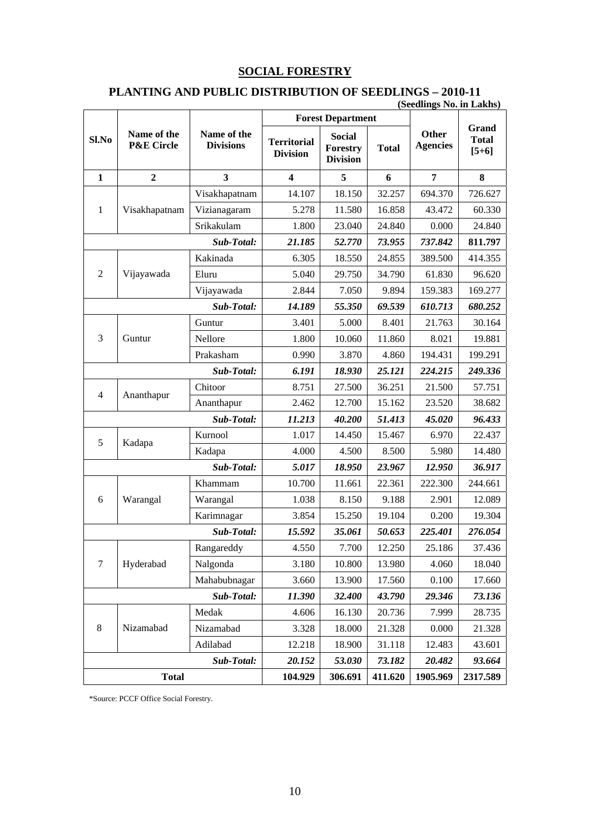## **SOCIAL FORESTRY**

## **PLANTING AND PUBLIC DISTRIBUTION OF SEEDLINGS – 2010-11**

### **(Seedlings No. in Lakhs)**

|                |                                      |                                 |                                       | <b>Forest Department</b>                     |              |                          |                                  |
|----------------|--------------------------------------|---------------------------------|---------------------------------------|----------------------------------------------|--------------|--------------------------|----------------------------------|
| Sl.No          | Name of the<br><b>P&amp;E Circle</b> | Name of the<br><b>Divisions</b> | <b>Territorial</b><br><b>Division</b> | <b>Social</b><br>Forestry<br><b>Division</b> | <b>Total</b> | Other<br><b>Agencies</b> | Grand<br><b>Total</b><br>$[5+6]$ |
| $\mathbf{1}$   | $\overline{2}$                       | 3                               | 4                                     | 5                                            | 6            | 7                        | 8                                |
|                |                                      | Visakhapatnam                   | 14.107                                | 18.150                                       | 32.257       | 694.370                  | 726.627                          |
| $\mathbf{1}$   | Visakhapatnam                        | Vizianagaram                    | 5.278                                 | 11.580                                       | 16.858       | 43.472                   | 60.330                           |
|                |                                      | Srikakulam                      | 1.800                                 | 23.040                                       | 24.840       | 0.000                    | 24.840                           |
|                |                                      | Sub-Total:                      | 21.185                                | 52.770                                       | 73.955       | 737.842                  | 811.797                          |
|                |                                      | Kakinada                        | 6.305                                 | 18.550                                       | 24.855       | 389.500                  | 414.355                          |
| $\overline{2}$ | Vijayawada                           | Eluru                           | 5.040                                 | 29.750                                       | 34.790       | 61.830                   | 96.620                           |
|                |                                      | Vijayawada                      | 2.844                                 | 7.050                                        | 9.894        | 159.383                  | 169.277                          |
|                |                                      | Sub-Total:                      | 14.189                                | 55.350                                       | 69.539       | 610.713                  | 680.252                          |
|                |                                      | Guntur                          | 3.401                                 | 5.000                                        | 8.401        | 21.763                   | 30.164                           |
| 3              | Guntur                               | <b>Nellore</b>                  | 1.800                                 | 10.060                                       | 11.860       | 8.021                    | 19.881                           |
|                |                                      | Prakasham                       | 0.990                                 | 3.870                                        | 4.860        | 194.431                  | 199.291                          |
| Sub-Total:     |                                      |                                 | 6.191                                 | 18.930                                       | 25.121       | 224.215                  | 249.336                          |
| $\overline{4}$ | Ananthapur                           | Chitoor                         | 8.751                                 | 27.500                                       | 36.251       | 21.500                   | 57.751                           |
|                |                                      | Ananthapur                      | 2.462                                 | 12.700                                       | 15.162       | 23.520                   | 38.682                           |
|                |                                      | Sub-Total:                      | 11.213                                | 40.200                                       | 51.413       | 45.020                   | 96.433                           |
| 5              | Kadapa                               | Kurnool                         | 1.017                                 | 14.450                                       | 15.467       | 6.970                    | 22.437                           |
|                |                                      | Kadapa                          | 4.000                                 | 4.500                                        | 8.500        | 5.980                    | 14.480                           |
|                |                                      | Sub-Total:                      | 5.017                                 | 18.950                                       | 23.967       | 12.950                   | 36.917                           |
|                |                                      | Khammam                         | 10.700                                | 11.661                                       | 22.361       | 222.300                  | 244.661                          |
| 6              | Warangal                             | Warangal                        | 1.038                                 | 8.150                                        | 9.188        | 2.901                    | 12.089                           |
|                |                                      | Karimnagar                      | 3.854                                 | 15.250                                       | 19.104       | 0.200                    | 19.304                           |
|                |                                      | Sub-Total:                      | 15.592                                | 35.061                                       | 50.653       | 225.401                  | 276.054                          |
|                |                                      | Rangareddy                      | 4.550                                 | 7.700                                        | 12.250       | 25.186                   | 37.436                           |
| $\overline{7}$ | Hyderabad                            | Nalgonda                        | 3.180                                 | 10.800                                       | 13.980       | 4.060                    | 18.040                           |
|                |                                      | Mahabubnagar                    | 3.660                                 | 13.900                                       | 17.560       | 0.100                    | 17.660                           |
|                |                                      | Sub-Total:                      | 11.390                                | 32.400                                       | 43.790       | 29.346                   | 73.136                           |
|                |                                      | Medak                           | 4.606                                 | 16.130                                       | 20.736       | 7.999                    | 28.735                           |
| 8              | Nizamabad                            | Nizamabad                       | 3.328                                 | 18.000                                       | 21.328       | 0.000                    | 21.328                           |
|                |                                      | Adilabad                        | 12.218                                | 18.900                                       | 31.118       | 12.483                   | 43.601                           |
|                |                                      | Sub-Total:                      | 20.152                                | 53.030                                       | 73.182       | 20.482                   | 93.664                           |
| <b>Total</b>   |                                      |                                 | 104.929                               | 306.691                                      | 411.620      | 1905.969                 | 2317.589                         |

\*Source: PCCF Office Social Forestry.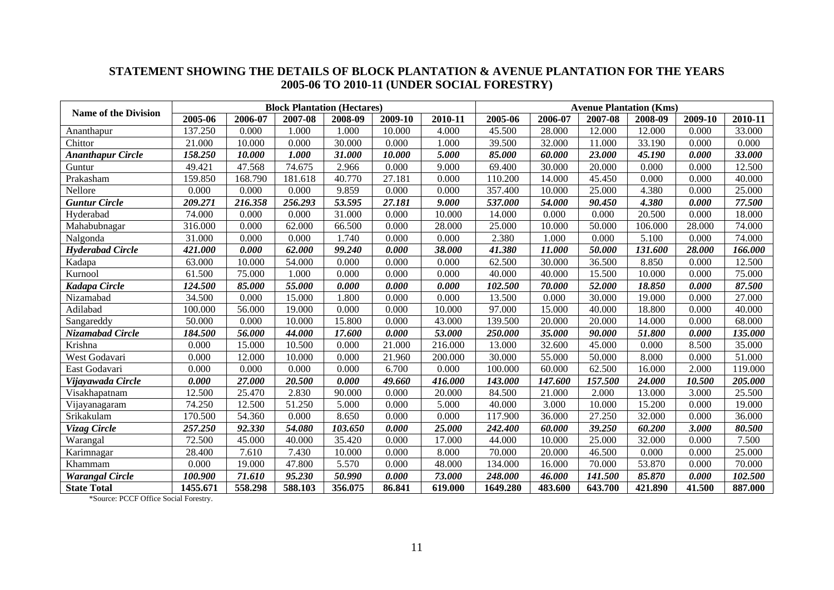### **STATEMENT SHOWING THE DETAILS OF BLOCK PLANTATION & AVENUE PLANTATION FOR THE YEARS 2005-06 TO 2010-11 (UNDER SOCIAL FORESTRY)**

| <b>Name of the Division</b> |          |         | <b>Block Plantation (Hectares)</b> |         |         |         |          |         |         | <b>Avenue Plantation (Kms)</b> |         |         |
|-----------------------------|----------|---------|------------------------------------|---------|---------|---------|----------|---------|---------|--------------------------------|---------|---------|
|                             | 2005-06  | 2006-07 | 2007-08                            | 2008-09 | 2009-10 | 2010-11 | 2005-06  | 2006-07 | 2007-08 | 2008-09                        | 2009-10 | 2010-11 |
| Ananthapur                  | 137.250  | 0.000   | 1.000                              | 1.000   | 10.000  | 4.000   | 45.500   | 28.000  | 12.000  | 12.000                         | 0.000   | 33.000  |
| Chittor                     | 21.000   | 10.000  | 0.000                              | 30.000  | 0.000   | 1.000   | 39.500   | 32.000  | 11.000  | 33.190                         | 0.000   | 0.000   |
| <b>Ananthapur Circle</b>    | 158.250  | 10.000  | 1.000                              | 31.000  | 10.000  | 5.000   | 85.000   | 60.000  | 23.000  | 45.190                         | 0.000   | 33.000  |
| Guntur                      | 49.421   | 47.568  | 74.675                             | 2.966   | 0.000   | 9.000   | 69.400   | 30.000  | 20.000  | 0.000                          | 0.000   | 12.500  |
| Prakasham                   | 159.850  | 168.790 | 181.618                            | 40.770  | 27.181  | 0.000   | 110.200  | 14.000  | 45.450  | 0.000                          | 0.000   | 40.000  |
| <b>Nellore</b>              | 0.000    | 0.000   | 0.000                              | 9.859   | 0.000   | 0.000   | 357.400  | 10.000  | 25.000  | 4.380                          | 0.000   | 25.000  |
| <b>Guntur Circle</b>        | 209.271  | 216.358 | 256.293                            | 53.595  | 27.181  | 9.000   | 537.000  | 54.000  | 90.450  | 4.380                          | 0.000   | 77.500  |
| Hyderabad                   | 74.000   | 0.000   | 0.000                              | 31.000  | 0.000   | 10.000  | 14.000   | 0.000   | 0.000   | 20.500                         | 0.000   | 18.000  |
| Mahabubnagar                | 316.000  | 0.000   | 62.000                             | 66.500  | 0.000   | 28.000  | 25.000   | 10.000  | 50.000  | 106.000                        | 28.000  | 74.000  |
| Nalgonda                    | 31.000   | 0.000   | 0.000                              | 1.740   | 0.000   | 0.000   | 2.380    | 1.000   | 0.000   | 5.100                          | 0.000   | 74.000  |
| <b>Hyderabad Circle</b>     | 421.000  | 0.000   | 62.000                             | 99.240  | 0.000   | 38.000  | 41.380   | 11.000  | 50.000  | 131.600                        | 28.000  | 166.000 |
| Kadapa                      | 63.000   | 10.000  | 54.000                             | 0.000   | 0.000   | 0.000   | 62.500   | 30.000  | 36.500  | 8.850                          | 0.000   | 12.500  |
| Kurnool                     | 61.500   | 75.000  | 1.000                              | 0.000   | 0.000   | 0.000   | 40.000   | 40.000  | 15.500  | 10.000                         | 0.000   | 75.000  |
| Kadapa Circle               | 124.500  | 85.000  | 55.000                             | 0.000   | 0.000   | 0.000   | 102.500  | 70.000  | 52.000  | 18.850                         | 0.000   | 87.500  |
| Nizamabad                   | 34.500   | 0.000   | 15.000                             | 1.800   | 0.000   | 0.000   | 13.500   | 0.000   | 30.000  | 19.000                         | 0.000   | 27.000  |
| Adilabad                    | 100.000  | 56.000  | 19.000                             | 0.000   | 0.000   | 10.000  | 97.000   | 15.000  | 40.000  | 18.800                         | 0.000   | 40.000  |
| Sangareddy                  | 50.000   | 0.000   | 10.000                             | 15.800  | 0.000   | 43.000  | 139.500  | 20.000  | 20.000  | 14.000                         | 0.000   | 68.000  |
| Nizamabad Circle            | 184.500  | 56.000  | 44.000                             | 17.600  | 0.000   | 53.000  | 250.000  | 35.000  | 90.000  | 51.800                         | 0.000   | 135.000 |
| Krishna                     | 0.000    | 15.000  | 10.500                             | 0.000   | 21.000  | 216.000 | 13.000   | 32.600  | 45.000  | 0.000                          | 8.500   | 35.000  |
| West Godavari               | 0.000    | 12.000  | 10.000                             | 0.000   | 21.960  | 200.000 | 30.000   | 55.000  | 50.000  | 8.000                          | 0.000   | 51.000  |
| East Godavari               | 0.000    | 0.000   | 0.000                              | 0.000   | 6.700   | 0.000   | 100.000  | 60.000  | 62.500  | 16.000                         | 2.000   | 119.000 |
| Vijayawada Circle           | 0.000    | 27.000  | 20.500                             | 0.000   | 49.660  | 416.000 | 143.000  | 147.600 | 157.500 | 24.000                         | 10.500  | 205.000 |
| Visakhapatnam               | 12.500   | 25.470  | 2.830                              | 90.000  | 0.000   | 20.000  | 84.500   | 21.000  | 2.000   | 13.000                         | 3.000   | 25.500  |
| Vijayanagaram               | 74.250   | 12.500  | 51.250                             | 5.000   | 0.000   | 5.000   | 40.000   | 3.000   | 10.000  | 15.200                         | 0.000   | 19.000  |
| Srikakulam                  | 170.500  | 54.360  | 0.000                              | 8.650   | 0.000   | 0.000   | 117.900  | 36.000  | 27.250  | 32.000                         | 0.000   | 36.000  |
| Vizag Circle                | 257.250  | 92.330  | 54.080                             | 103.650 | 0.000   | 25.000  | 242.400  | 60.000  | 39.250  | 60.200                         | 3.000   | 80.500  |
| Warangal                    | 72.500   | 45.000  | 40.000                             | 35.420  | 0.000   | 17.000  | 44.000   | 10.000  | 25.000  | 32.000                         | 0.000   | 7.500   |
| Karimnagar                  | 28.400   | 7.610   | 7.430                              | 10.000  | 0.000   | 8.000   | 70.000   | 20.000  | 46.500  | 0.000                          | 0.000   | 25.000  |
| Khammam                     | 0.000    | 19.000  | 47.800                             | 5.570   | 0.000   | 48.000  | 134.000  | 16.000  | 70.000  | 53.870                         | 0.000   | 70.000  |
| <b>Warangal Circle</b>      | 100.900  | 71.610  | 95.230                             | 50.990  | 0.000   | 73.000  | 248.000  | 46.000  | 141.500 | 85.870                         | 0.000   | 102.500 |
| <b>State Total</b>          | 1455.671 | 558.298 | 588.103                            | 356.075 | 86.841  | 619.000 | 1649.280 | 483.600 | 643.700 | 421.890                        | 41.500  | 887.000 |

\*Source: PCCF Office Social Forestry.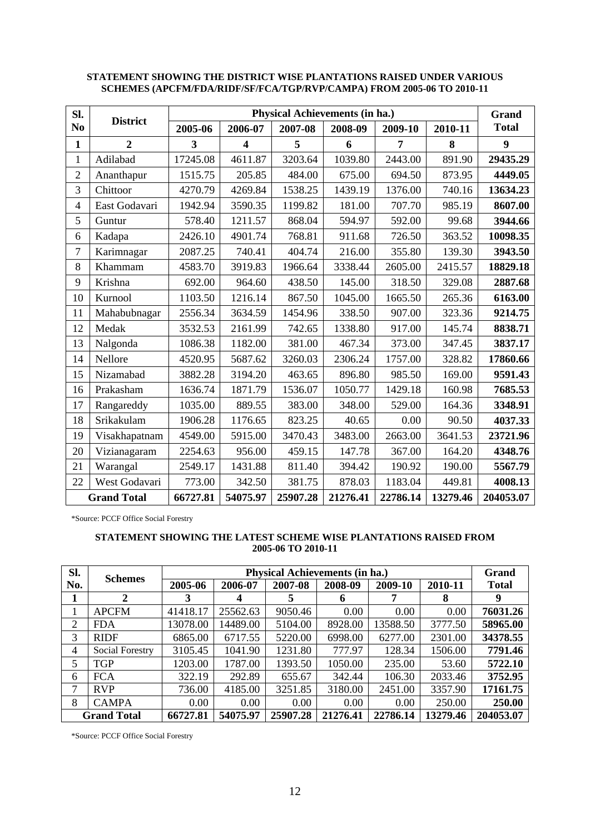| Sl.            |                    |          |                         |          | Physical Achievements (in ha.) |                |          | Grand            |
|----------------|--------------------|----------|-------------------------|----------|--------------------------------|----------------|----------|------------------|
| N <sub>0</sub> | <b>District</b>    | 2005-06  | 2006-07                 | 2007-08  | 2008-09                        | 2009-10        | 2010-11  | <b>Total</b>     |
| $\mathbf{1}$   | $\overline{2}$     | 3        | $\overline{\mathbf{4}}$ | 5        | 6                              | $\overline{7}$ | 8        | $\boldsymbol{9}$ |
| $\mathbf{1}$   | Adilabad           | 17245.08 | 4611.87                 | 3203.64  | 1039.80                        | 2443.00        | 891.90   | 29435.29         |
| $\overline{2}$ | Ananthapur         | 1515.75  | 205.85                  | 484.00   | 675.00                         | 694.50         | 873.95   | 4449.05          |
| 3              | Chittoor           | 4270.79  | 4269.84                 | 1538.25  | 1439.19                        | 1376.00        | 740.16   | 13634.23         |
| $\overline{4}$ | East Godavari      | 1942.94  | 3590.35                 | 1199.82  | 181.00                         | 707.70         | 985.19   | 8607.00          |
| 5              | Guntur             | 578.40   | 1211.57                 | 868.04   | 594.97                         | 592.00         | 99.68    | 3944.66          |
| 6              | Kadapa             | 2426.10  | 4901.74                 | 768.81   | 911.68                         | 726.50         | 363.52   | 10098.35         |
| $\overline{7}$ | Karimnagar         | 2087.25  | 740.41                  | 404.74   | 216.00                         | 355.80         | 139.30   | 3943.50          |
| 8              | Khammam            | 4583.70  | 3919.83                 | 1966.64  | 3338.44                        | 2605.00        | 2415.57  | 18829.18         |
| 9              | Krishna            | 692.00   | 964.60                  | 438.50   | 145.00                         | 318.50         | 329.08   | 2887.68          |
| 10             | Kurnool            | 1103.50  | 1216.14                 | 867.50   | 1045.00                        | 1665.50        | 265.36   | 6163.00          |
| 11             | Mahabubnagar       | 2556.34  | 3634.59                 | 1454.96  | 338.50                         | 907.00         | 323.36   | 9214.75          |
| 12             | Medak              | 3532.53  | 2161.99                 | 742.65   | 1338.80                        | 917.00         | 145.74   | 8838.71          |
| 13             | Nalgonda           | 1086.38  | 1182.00                 | 381.00   | 467.34                         | 373.00         | 347.45   | 3837.17          |
| 14             | Nellore            | 4520.95  | 5687.62                 | 3260.03  | 2306.24                        | 1757.00        | 328.82   | 17860.66         |
| 15             | Nizamabad          | 3882.28  | 3194.20                 | 463.65   | 896.80                         | 985.50         | 169.00   | 9591.43          |
| 16             | Prakasham          | 1636.74  | 1871.79                 | 1536.07  | 1050.77                        | 1429.18        | 160.98   | 7685.53          |
| 17             | Rangareddy         | 1035.00  | 889.55                  | 383.00   | 348.00                         | 529.00         | 164.36   | 3348.91          |
| 18             | Srikakulam         | 1906.28  | 1176.65                 | 823.25   | 40.65                          | 0.00           | 90.50    | 4037.33          |
| 19             | Visakhapatnam      | 4549.00  | 5915.00                 | 3470.43  | 3483.00                        | 2663.00        | 3641.53  | 23721.96         |
| 20             | Vizianagaram       | 2254.63  | 956.00                  | 459.15   | 147.78                         | 367.00         | 164.20   | 4348.76          |
| 21             | Warangal           | 2549.17  | 1431.88                 | 811.40   | 394.42                         | 190.92         | 190.00   | 5567.79          |
| 22             | West Godavari      | 773.00   | 342.50                  | 381.75   | 878.03                         | 1183.04        | 449.81   | 4008.13          |
|                | <b>Grand Total</b> | 66727.81 | 54075.97                | 25907.28 | 21276.41                       | 22786.14       | 13279.46 | 204053.07        |

### **STATEMENT SHOWING THE DISTRICT WISE PLANTATIONS RAISED UNDER VARIOUS SCHEMES (APCFM/FDA/RIDF/SF/FCA/TGP/RVP/CAMPA) FROM 2005-06 TO 2010-11**

\*Source: PCCF Office Social Forestry

#### **STATEMENT SHOWING THE LATEST SCHEME WISE PLANTATIONS RAISED FROM 2005-06 TO 2010-11**

| Sl. | <b>Schemes</b>     |          |          | <b>Physical Achievements (in ha.)</b> |          |          |          | Grand        |
|-----|--------------------|----------|----------|---------------------------------------|----------|----------|----------|--------------|
| No. |                    | 2005-06  | 2006-07  | 2007-08                               | 2008-09  | 2009-10  | 2010-11  | <b>Total</b> |
|     | 2                  | 3        | 4        | 5                                     | 6        |          | 8        | 9            |
|     | <b>APCFM</b>       | 41418.17 | 25562.63 | 9050.46                               | 0.00     | 0.00     | 0.00     | 76031.26     |
| 2   | <b>FDA</b>         | 13078.00 | 14489.00 | 5104.00                               | 8928.00  | 13588.50 | 3777.50  | 58965.00     |
| 3   | <b>RIDF</b>        | 6865.00  | 6717.55  | 5220.00                               | 6998.00  | 6277.00  | 2301.00  | 34378.55     |
| 4   | Social Forestry    | 3105.45  | 1041.90  | 1231.80                               | 777.97   | 128.34   | 1506.00  | 7791.46      |
| 5   | <b>TGP</b>         | 1203.00  | 1787.00  | 1393.50                               | 1050.00  | 235.00   | 53.60    | 5722.10      |
| 6   | <b>FCA</b>         | 322.19   | 292.89   | 655.67                                | 342.44   | 106.30   | 2033.46  | 3752.95      |
| 7   | <b>RVP</b>         | 736.00   | 4185.00  | 3251.85                               | 3180.00  | 2451.00  | 3357.90  | 17161.75     |
| 8   | <b>CAMPA</b>       | 0.00     | 0.00     | 0.00                                  | $0.00\,$ | 0.00     | 250.00   | 250.00       |
|     | <b>Grand Total</b> | 66727.81 | 54075.97 | 25907.28                              | 21276.41 | 22786.14 | 13279.46 | 204053.07    |

\*Source: PCCF Office Social Forestry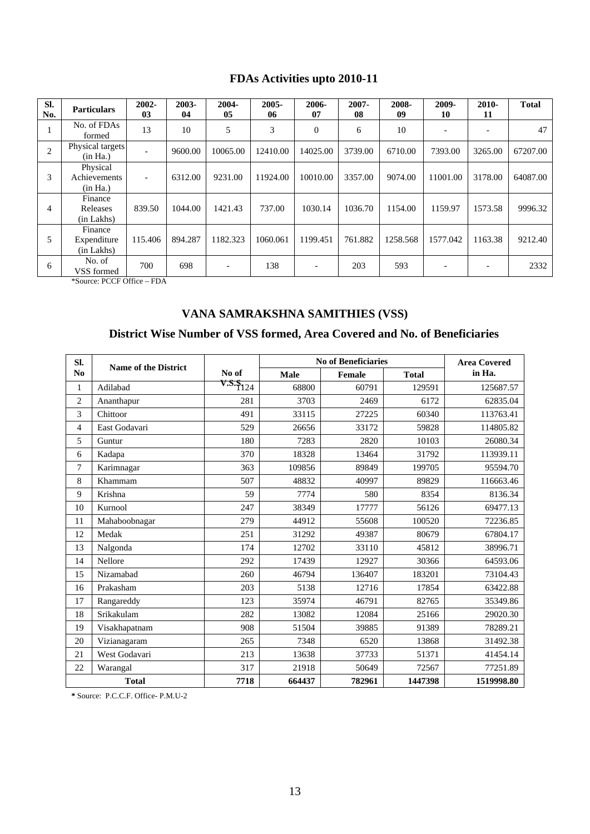## **FDAs Activities upto 2010-11**

| SI.<br>No. | <b>Particulars</b>                   | 2002-<br>03 | 2003-<br>04 | 2004-<br>05              | 2005-<br>06 | 2006-<br>07              | 2007-<br>08 | 2008-<br>09 | 2009-<br>10 | 2010-<br>11 | <b>Total</b> |
|------------|--------------------------------------|-------------|-------------|--------------------------|-------------|--------------------------|-------------|-------------|-------------|-------------|--------------|
|            | No. of FDAs<br>formed                | 13          | 10          | 5                        | 3           | $\mathbf{0}$             | 6           | 10          |             |             | 47           |
| 2          | Physical targets<br>(in Ha.)         |             | 9600.00     | 10065.00                 | 12410.00    | 14025.00                 | 3739.00     | 6710.00     | 7393.00     | 3265.00     | 67207.00     |
| 3          | Physical<br>Achievements<br>(in Ha.) |             | 6312.00     | 9231.00                  | 11924.00    | 10010.00                 | 3357.00     | 9074.00     | 11001.00    | 3178.00     | 64087.00     |
| 4          | Finance<br>Releases<br>(in Lakhs)    | 839.50      | 1044.00     | 1421.43                  | 737.00      | 1030.14                  | 1036.70     | 1154.00     | 1159.97     | 1573.58     | 9996.32      |
| 5          | Finance<br>Expenditure<br>(in Lakhs) | 115.406     | 894.287     | 1182.323                 | 1060.061    | 1199.451                 | 761.882     | 1258.568    | 1577.042    | 1163.38     | 9212.40      |
| 6          | No. of<br>VSS formed                 | 700         | 698         | $\overline{\phantom{0}}$ | 138         | $\overline{\phantom{a}}$ | 203         | 593         |             |             | 2332         |

\*Source: PCCF Office – FDA

# **VANA SAMRAKSHNA SAMITHIES (VSS)**

## **District Wise Number of VSS formed, Area Covered and No. of Beneficiaries**

| SI.            | <b>Name of the District</b> |              |        | <b>No of Beneficiaries</b> |              | <b>Area Covered</b> |
|----------------|-----------------------------|--------------|--------|----------------------------|--------------|---------------------|
| N <sub>0</sub> |                             | No of        | Male   | Female                     | <b>Total</b> | in Ha.              |
| $\mathbf{1}$   | Adilabad                    | $V.S.\S 124$ | 68800  | 60791                      | 129591       | 125687.57           |
| $\overline{2}$ | Ananthapur                  | 281          | 3703   | 2469                       | 6172         | 62835.04            |
| 3              | Chittoor                    | 491          | 33115  | 27225                      | 60340        | 113763.41           |
| 4              | East Godavari               | 529          | 26656  | 33172                      | 59828        | 114805.82           |
| 5              | Guntur                      | 180          | 7283   | 2820                       | 10103        | 26080.34            |
| 6              | Kadapa                      | 370          | 18328  | 13464                      | 31792        | 113939.11           |
| 7              | Karimnagar                  | 363          | 109856 | 89849                      | 199705       | 95594.70            |
| 8              | Khammam                     | 507          | 48832  | 40997                      | 89829        | 116663.46           |
| 9              | Krishna                     | 59           | 7774   | 580                        | 8354         | 8136.34             |
| 10             | Kurnool                     | 247          | 38349  | 17777                      | 56126        | 69477.13            |
| 11             | Mahaboobnagar               | 279          | 44912  | 55608                      | 100520       | 72236.85            |
| 12             | Medak                       | 251          | 31292  | 49387                      | 80679        | 67804.17            |
| 13             | Nalgonda                    | 174          | 12702  | 33110                      | 45812        | 38996.71            |
| 14             | Nellore                     | 292          | 17439  | 12927                      | 30366        | 64593.06            |
| 15             | Nizamabad                   | 260          | 46794  | 136407                     | 183201       | 73104.43            |
| 16             | Prakasham                   | 203          | 5138   | 12716                      | 17854        | 63422.88            |
| 17             | Rangareddy                  | 123          | 35974  | 46791                      | 82765        | 35349.86            |
| 18             | Srikakulam                  | 282          | 13082  | 12084                      | 25166        | 29020.30            |
| 19             | Visakhapatnam               | 908          | 51504  | 39885                      | 91389        | 78289.21            |
| 20             | Vizianagaram                | 265          | 7348   | 6520                       | 13868        | 31492.38            |
| 21             | West Godavari               | 213          | 13638  | 37733                      | 51371        | 41454.14            |
| 22             | Warangal                    | 317          | 21918  | 50649                      | 72567        | 77251.89            |
|                | <b>Total</b>                | 7718         | 664437 | 782961                     | 1447398      | 1519998.80          |

**\*** Source: P.C.C.F. Office- P.M.U-2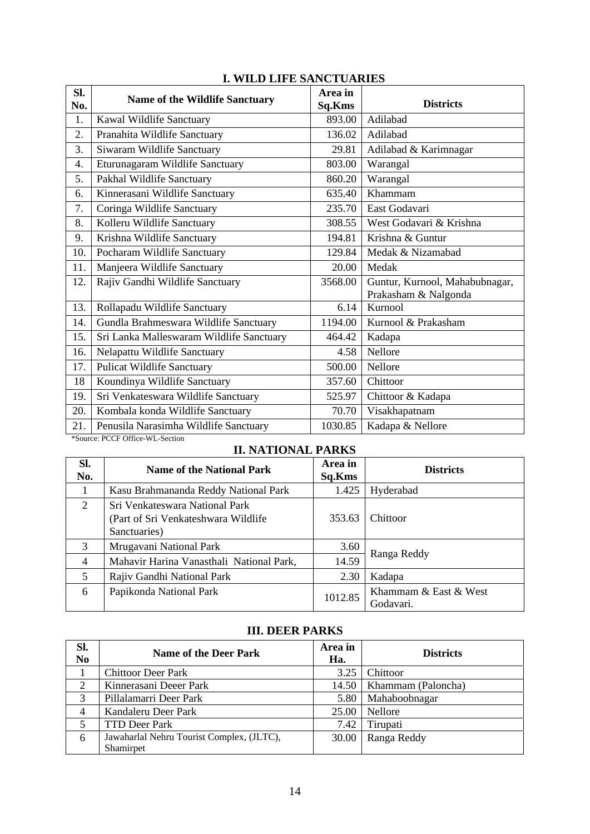| SI.                                      |                                                                                                                                                                                                                                                                                                           |                                |  |  |  |  |  |
|------------------------------------------|-----------------------------------------------------------------------------------------------------------------------------------------------------------------------------------------------------------------------------------------------------------------------------------------------------------|--------------------------------|--|--|--|--|--|
|                                          |                                                                                                                                                                                                                                                                                                           |                                |  |  |  |  |  |
|                                          | Sq.Kms                                                                                                                                                                                                                                                                                                    | <b>Districts</b>               |  |  |  |  |  |
| Kawal Wildlife Sanctuary                 | 893.00                                                                                                                                                                                                                                                                                                    | Adilabad                       |  |  |  |  |  |
| Pranahita Wildlife Sanctuary             | 136.02                                                                                                                                                                                                                                                                                                    | Adilabad                       |  |  |  |  |  |
| Siwaram Wildlife Sanctuary               | 29.81                                                                                                                                                                                                                                                                                                     | Adilabad & Karimnagar          |  |  |  |  |  |
| Eturunagaram Wildlife Sanctuary          | 803.00                                                                                                                                                                                                                                                                                                    | Warangal                       |  |  |  |  |  |
| Pakhal Wildlife Sanctuary                | 860.20                                                                                                                                                                                                                                                                                                    | Warangal                       |  |  |  |  |  |
| Kinnerasani Wildlife Sanctuary           | 635.40                                                                                                                                                                                                                                                                                                    | Khammam                        |  |  |  |  |  |
| Coringa Wildlife Sanctuary               | 235.70                                                                                                                                                                                                                                                                                                    | East Godavari                  |  |  |  |  |  |
| Kolleru Wildlife Sanctuary               | 308.55                                                                                                                                                                                                                                                                                                    | West Godavari & Krishna        |  |  |  |  |  |
| Krishna Wildlife Sanctuary               | 194.81                                                                                                                                                                                                                                                                                                    | Krishna & Guntur               |  |  |  |  |  |
| Pocharam Wildlife Sanctuary              | 129.84                                                                                                                                                                                                                                                                                                    | Medak & Nizamabad              |  |  |  |  |  |
| Manjeera Wildlife Sanctuary              | 20.00                                                                                                                                                                                                                                                                                                     | Medak                          |  |  |  |  |  |
| Rajiv Gandhi Wildlife Sanctuary          | 3568.00                                                                                                                                                                                                                                                                                                   | Guntur, Kurnool, Mahabubnagar, |  |  |  |  |  |
|                                          |                                                                                                                                                                                                                                                                                                           | Prakasham & Nalgonda           |  |  |  |  |  |
| Rollapadu Wildlife Sanctuary             | 6.14                                                                                                                                                                                                                                                                                                      | Kurnool                        |  |  |  |  |  |
| Gundla Brahmeswara Wildlife Sanctuary    | 1194.00                                                                                                                                                                                                                                                                                                   | Kurnool & Prakasham            |  |  |  |  |  |
| Sri Lanka Malleswaram Wildlife Sanctuary | 464.42                                                                                                                                                                                                                                                                                                    | Kadapa                         |  |  |  |  |  |
| Nelapattu Wildlife Sanctuary             | 4.58                                                                                                                                                                                                                                                                                                      | Nellore                        |  |  |  |  |  |
| <b>Pulicat Wildlife Sanctuary</b>        | 500.00                                                                                                                                                                                                                                                                                                    | Nellore                        |  |  |  |  |  |
| Koundinya Wildlife Sanctuary             | 357.60                                                                                                                                                                                                                                                                                                    | Chittoor                       |  |  |  |  |  |
| Sri Venkateswara Wildlife Sanctuary      | 525.97                                                                                                                                                                                                                                                                                                    | Chittoor & Kadapa              |  |  |  |  |  |
| Kombala konda Wildlife Sanctuary         | 70.70                                                                                                                                                                                                                                                                                                     | Visakhapatnam                  |  |  |  |  |  |
| Penusila Narasimha Wildlife Sanctuary    | 1030.85                                                                                                                                                                                                                                                                                                   | Kadapa & Nellore               |  |  |  |  |  |
|                                          | <b>Name of the Wildlife Sanctuary</b><br>$p_{CCD}$ $p_{C}$ $p_{C}$ $p_{C}$ $p_{C}$ $p_{C}$ $p_{C}$ $p_{C}$ $p_{C}$ $p_{C}$ $p_{C}$ $p_{C}$ $p_{C}$ $p_{C}$ $p_{C}$ $p_{C}$ $p_{C}$ $p_{C}$ $p_{C}$ $p_{C}$ $p_{C}$ $p_{C}$ $p_{C}$ $p_{C}$ $p_{C}$ $p_{C}$ $p_{C}$ $p_{C}$ $p_{C}$ $p_{C}$ $p_{C}$ $p_{C$ | Area in                        |  |  |  |  |  |

## **I. WILD LIFE SANCTUARIES**

\*Source: PCCF Office-WL-Section

# **II. NATIONAL PARKS**

| SI.<br>No.     | <b>Name of the National Park</b>                                                       | Area in<br>Sq.Kms | <b>Districts</b>                   |
|----------------|----------------------------------------------------------------------------------------|-------------------|------------------------------------|
|                | Kasu Brahmananda Reddy National Park                                                   | 1.425             | Hyderabad                          |
| 2              | Sri Venkateswara National Park<br>(Part of Sri Venkateshwara Wildlife)<br>Sanctuaries) | 353.63            | Chittoor                           |
| 3              | Mrugavani National Park                                                                | 3.60              | Ranga Reddy                        |
| $\overline{4}$ | Mahavir Harina Vanasthali National Park,                                               | 14.59             |                                    |
| 5              | Rajiv Gandhi National Park                                                             | 2.30              | Kadapa                             |
| 6              | Papikonda National Park                                                                | 1012.85           | Khammam & East & West<br>Godavari. |

## **III. DEER PARKS**

| Sl.<br>N <sub>0</sub> | <b>Name of the Deer Park</b>              | Area in<br>Ha. | <b>Districts</b>   |
|-----------------------|-------------------------------------------|----------------|--------------------|
|                       | <b>Chittoor Deer Park</b>                 | 3.25           | Chittoor           |
| $\overline{2}$        | Kinnerasani Deeer Park                    | 14.50          | Khammam (Paloncha) |
| 3                     | Pillalamarri Deer Park                    | 5.80           | Mahaboobnagar      |
| $\overline{4}$        | Kandaleru Deer Park                       | 25.00          | Nellore            |
| 5                     | <b>TTD Deer Park</b>                      | 7.42           | Tirupati           |
| 6                     | Jawaharlal Nehru Tourist Complex, (JLTC), | 30.00          | Ranga Reddy        |
|                       | Shamirpet                                 |                |                    |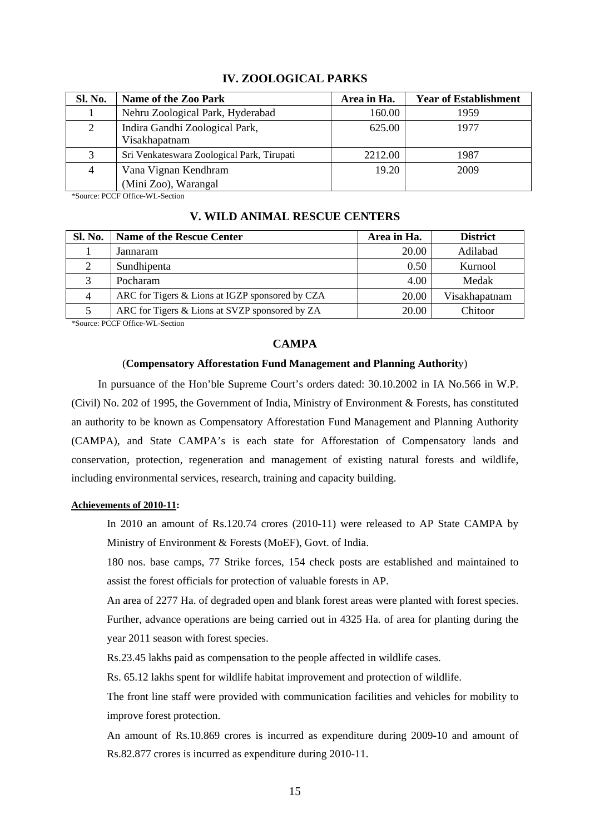| Sl. No. | <b>Name of the Zoo Park</b>                     | Area in Ha. | <b>Year of Establishment</b> |
|---------|-------------------------------------------------|-------------|------------------------------|
|         | Nehru Zoological Park, Hyderabad                | 160.00      | 1959                         |
| 2       | Indira Gandhi Zoological Park,<br>Visakhapatnam | 625.00      | 1977                         |
|         | Sri Venkateswara Zoological Park, Tirupati      | 2212.00     | 1987                         |
| 4       | Vana Vignan Kendhram                            | 19.20       | 2009                         |
|         | (Mini Zoo), Warangal                            |             |                              |

### **IV. ZOOLOGICAL PARKS**

\*Source: PCCF Office-WL-Section

| <b>Sl. No.</b> | Name of the Rescue Center                       | Area in Ha. | <b>District</b> |
|----------------|-------------------------------------------------|-------------|-----------------|
|                | Jannaram                                        | 20.00       | Adilabad        |
|                | Sundhipenta                                     | 0.50        | Kurnool         |
|                | Pocharam                                        | 4.00        | Medak           |
| 4              | ARC for Tigers & Lions at IGZP sponsored by CZA | 20.00       | Visakhapatnam   |
|                | ARC for Tigers & Lions at SVZP sponsored by ZA  | 20.00       | Chitoor         |

### **V. WILD ANIMAL RESCUE CENTERS**

\*Source: PCCF Office-WL-Section

### **CAMPA**

#### (**Compensatory Afforestation Fund Management and Planning Authorit**y)

In pursuance of the Hon'ble Supreme Court's orders dated: 30.10.2002 in IA No.566 in W.P. (Civil) No. 202 of 1995, the Government of India, Ministry of Environment & Forests, has constituted an authority to be known as Compensatory Afforestation Fund Management and Planning Authority (CAMPA), and State CAMPA's is each state for Afforestation of Compensatory lands and conservation, protection, regeneration and management of existing natural forests and wildlife, including environmental services, research, training and capacity building.

#### **Achievements of 2010-11:**

In 2010 an amount of Rs.120.74 crores (2010-11) were released to AP State CAMPA by Ministry of Environment & Forests (MoEF), Govt. of India.

180 nos. base camps, 77 Strike forces, 154 check posts are established and maintained to assist the forest officials for protection of valuable forests in AP.

An area of 2277 Ha. of degraded open and blank forest areas were planted with forest species. Further, advance operations are being carried out in 4325 Ha. of area for planting during the year 2011 season with forest species.

Rs.23.45 lakhs paid as compensation to the people affected in wildlife cases.

Rs. 65.12 lakhs spent for wildlife habitat improvement and protection of wildlife.

The front line staff were provided with communication facilities and vehicles for mobility to improve forest protection.

An amount of Rs.10.869 crores is incurred as expenditure during 2009-10 and amount of Rs.82.877 crores is incurred as expenditure during 2010-11.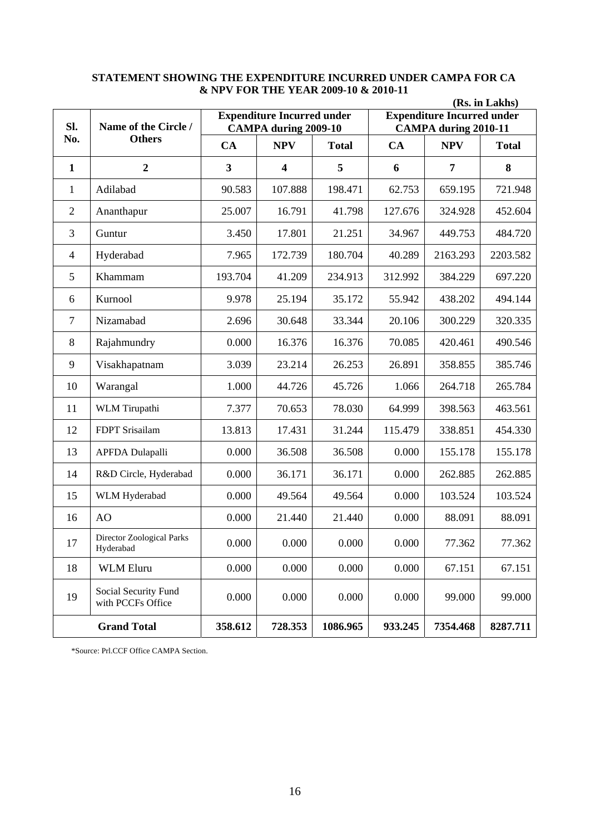|                | (Rs. in Lakhs)                            |         |                                                                  |              |         |                                                                  |              |  |  |
|----------------|-------------------------------------------|---------|------------------------------------------------------------------|--------------|---------|------------------------------------------------------------------|--------------|--|--|
| SI.            | Name of the Circle /                      |         | <b>Expenditure Incurred under</b><br><b>CAMPA during 2009-10</b> |              |         | <b>Expenditure Incurred under</b><br><b>CAMPA during 2010-11</b> |              |  |  |
| No.            | <b>Others</b>                             | CA      | <b>NPV</b>                                                       | <b>Total</b> | CA      | <b>NPV</b>                                                       | <b>Total</b> |  |  |
| $\mathbf{1}$   | $\overline{2}$                            | 3       | $\overline{\mathbf{4}}$                                          | 5            | 6       | 7                                                                | 8            |  |  |
| 1              | Adilabad                                  | 90.583  | 107.888                                                          | 198.471      | 62.753  | 659.195                                                          | 721.948      |  |  |
| $\overline{2}$ | Ananthapur                                | 25.007  | 16.791                                                           | 41.798       | 127.676 | 324.928                                                          | 452.604      |  |  |
| 3              | Guntur                                    | 3.450   | 17.801                                                           | 21.251       | 34.967  | 449.753                                                          | 484.720      |  |  |
| $\overline{4}$ | Hyderabad                                 | 7.965   | 172.739                                                          | 180.704      | 40.289  | 2163.293                                                         | 2203.582     |  |  |
| 5              | Khammam                                   | 193.704 | 41.209                                                           | 234.913      | 312.992 | 384.229                                                          | 697.220      |  |  |
| 6              | Kurnool                                   | 9.978   | 25.194                                                           | 35.172       | 55.942  | 438.202                                                          | 494.144      |  |  |
| 7              | Nizamabad                                 | 2.696   | 30.648                                                           | 33.344       | 20.106  | 300.229                                                          | 320.335      |  |  |
| 8              | Rajahmundry                               | 0.000   | 16.376                                                           | 16.376       | 70.085  | 420.461                                                          | 490.546      |  |  |
| 9              | Visakhapatnam                             | 3.039   | 23.214                                                           | 26.253       | 26.891  | 358.855                                                          | 385.746      |  |  |
| 10             | Warangal                                  | 1.000   | 44.726                                                           | 45.726       | 1.066   | 264.718                                                          | 265.784      |  |  |
| 11             | WLM Tirupathi                             | 7.377   | 70.653                                                           | 78.030       | 64.999  | 398.563                                                          | 463.561      |  |  |
| 12             | FDPT Srisailam                            | 13.813  | 17.431                                                           | 31.244       | 115.479 | 338.851                                                          | 454.330      |  |  |
| 13             | <b>APFDA Dulapalli</b>                    | 0.000   | 36.508                                                           | 36.508       | 0.000   | 155.178                                                          | 155.178      |  |  |
| 14             | R&D Circle, Hyderabad                     | 0.000   | 36.171                                                           | 36.171       | 0.000   | 262.885                                                          | 262.885      |  |  |
| 15             | WLM Hyderabad                             | 0.000   | 49.564                                                           | 49.564       | 0.000   | 103.524                                                          | 103.524      |  |  |
| 16             | AO                                        | 0.000   | 21.440                                                           | 21.440       | 0.000   | 88.091                                                           | 88.091       |  |  |
| 17             | Director Zoological Parks<br>Hyderabad    | 0.000   | 0.000                                                            | 0.000        | 0.000   | 77.362                                                           | 77.362       |  |  |
| 18             | <b>WLM Eluru</b>                          | 0.000   | 0.000                                                            | 0.000        | 0.000   | 67.151                                                           | 67.151       |  |  |
| 19             | Social Security Fund<br>with PCCFs Office | 0.000   | 0.000                                                            | 0.000        | 0.000   | 99.000                                                           | 99.000       |  |  |
|                | <b>Grand Total</b>                        | 358.612 | 728.353                                                          | 1086.965     | 933.245 | 7354.468                                                         | 8287.711     |  |  |

### **STATEMENT SHOWING THE EXPENDITURE INCURRED UNDER CAMPA FOR CA & NPV FOR THE YEAR 2009-10 & 2010-11**

\*Source: Prl.CCF Office CAMPA Section.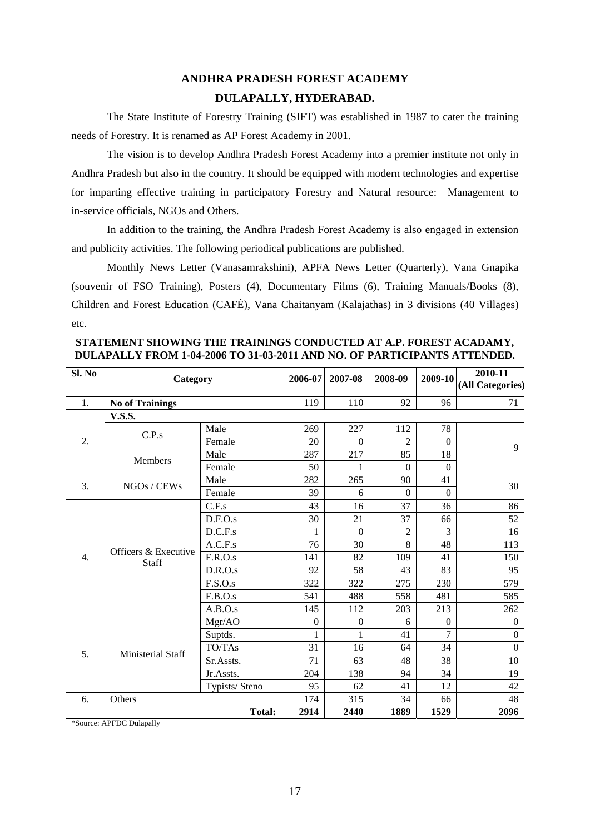# **ANDHRA PRADESH FOREST ACADEMY DULAPALLY, HYDERABAD.**

The State Institute of Forestry Training (SIFT) was established in 1987 to cater the training needs of Forestry. It is renamed as AP Forest Academy in 2001.

The vision is to develop Andhra Pradesh Forest Academy into a premier institute not only in Andhra Pradesh but also in the country. It should be equipped with modern technologies and expertise for imparting effective training in participatory Forestry and Natural resource: Management to in-service officials, NGOs and Others.

In addition to the training, the Andhra Pradesh Forest Academy is also engaged in extension and publicity activities. The following periodical publications are published.

Monthly News Letter (Vanasamrakshini), APFA News Letter (Quarterly), Vana Gnapika (souvenir of FSO Training), Posters (4), Documentary Films (6), Training Manuals/Books (8), Children and Forest Education (CAFÉ), Vana Chaitanyam (Kalajathas) in 3 divisions (40 Villages) etc.

**STATEMENT SHOWING THE TRAININGS CONDUCTED AT A.P. FOREST ACADAMY, DULAPALLY FROM 1-04-2006 TO 31-03-2011 AND NO. OF PARTICIPANTS ATTENDED.** 

| Sl. No           | Category                      | 2006-07        | 2007-08          | 2008-09          | 2009-10          | 2010-11<br>(All Categories) |                  |  |
|------------------|-------------------------------|----------------|------------------|------------------|------------------|-----------------------------|------------------|--|
| 1.               | <b>No of Trainings</b>        |                | 119              | 110              | 92               | 96                          | 71               |  |
|                  | <b>V.S.S.</b>                 |                |                  |                  |                  |                             |                  |  |
|                  |                               | Male           | 269              | 227              | 112              | 78                          |                  |  |
| 2.               | C.P.s                         | Female         | 20               | $\theta$         | $\overline{c}$   | $\Omega$                    | 9                |  |
|                  | <b>Members</b>                | Male           | 287              | 217              | 85               | 18                          |                  |  |
|                  |                               | Female         | 50               | 1                | $\theta$         | $\mathbf{0}$                |                  |  |
| 3.               | NGOs / CEWs                   | Male           | 282              | 265              | 90               | 41                          | 30               |  |
|                  |                               | Female         | 39               | 6                | $\boldsymbol{0}$ | $\Omega$                    |                  |  |
|                  |                               | C.F.s          | 43               | 16               | 37               | 36                          | 86               |  |
|                  | Officers & Executive<br>Staff | D.F.O.s        | 30               | 21               | 37               | 66                          | 52               |  |
|                  |                               | D.C.F.s        | 1                | $\Omega$         | $\overline{2}$   | 3                           | 16               |  |
|                  |                               | A.C.F.s        | 76               | 30               | 8                | 48                          | 113              |  |
| $\overline{4}$ . |                               | F.R.O.s        | 141              | 82               | 109              | 41                          | 150              |  |
|                  |                               | D.R.O.s        | 92               | 58               | 43               | 83                          | 95               |  |
|                  |                               | F.S.O.s        | 322              | 322              | 275              | 230                         | 579              |  |
|                  |                               | F.B.O.s        | 541              | 488              | 558              | 481                         | 585              |  |
|                  |                               | A.B.O.s        | 145              | 112              | 203              | 213                         | 262              |  |
|                  |                               | Mgr/AO         | $\boldsymbol{0}$ | $\boldsymbol{0}$ | 6                | $\mathbf{0}$                | $\boldsymbol{0}$ |  |
|                  |                               | Suptds.        | 1                | 1                | 41               | $\overline{7}$              | $\mathbf{0}$     |  |
| 5.               | Ministerial Staff             | TO/TAs         | 31               | 16               | 64               | 34                          | $\theta$         |  |
|                  |                               | Sr.Assts.      | 71               | 63               | 48               | 38                          | 10               |  |
|                  |                               | Jr.Assts.      | 204              | 138              | 94               | 34                          | 19               |  |
|                  |                               | Typists/ Steno | 95               | 62               | 41               | 12                          | 42               |  |
| 6.               | Others                        |                | 174              | 315              | 34               | 66                          | 48               |  |
|                  |                               | 2914           | 2440             | 1889             | 1529             | 2096                        |                  |  |

\*Source: APFDC Dulapally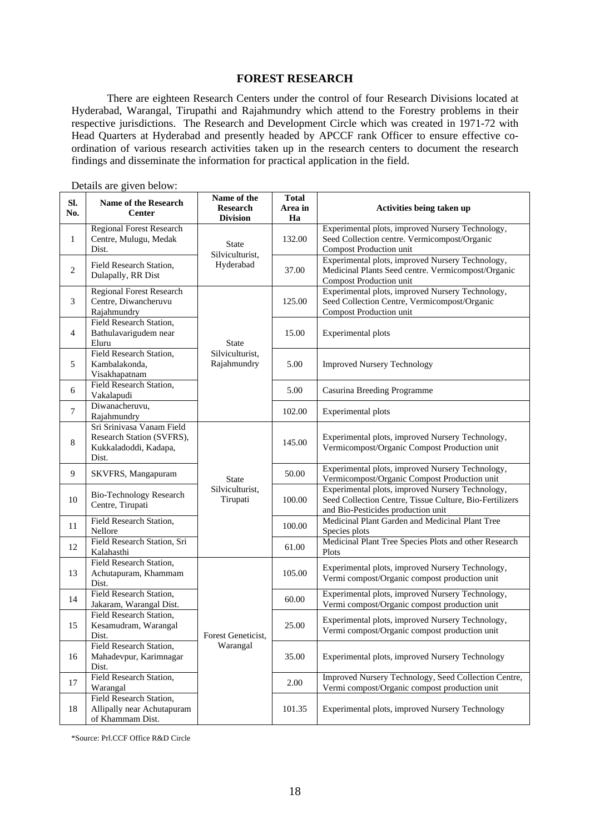#### **FOREST RESEARCH**

 There are eighteen Research Centers under the control of four Research Divisions located at Hyderabad, Warangal, Tirupathi and Rajahmundry which attend to the Forestry problems in their respective jurisdictions. The Research and Development Circle which was created in 1971-72 with Head Quarters at Hyderabad and presently headed by APCCF rank Officer to ensure effective coordination of various research activities taken up in the research centers to document the research findings and disseminate the information for practical application in the field.

| SI.<br>No.   | <b>Name of the Research</b><br><b>Center</b>                                             | Name of the<br><b>Total</b><br><b>Research</b><br>Area in<br><b>Division</b><br>Ha |                              | Activities being taken up                                                                                                                         |  |  |  |
|--------------|------------------------------------------------------------------------------------------|------------------------------------------------------------------------------------|------------------------------|---------------------------------------------------------------------------------------------------------------------------------------------------|--|--|--|
| $\mathbf{1}$ | <b>Regional Forest Research</b><br>Centre, Mulugu, Medak<br>Dist.                        | <b>State</b><br>Silviculturist.                                                    | 132.00                       | Experimental plots, improved Nursery Technology,<br>Seed Collection centre. Vermicompost/Organic<br>Compost Production unit                       |  |  |  |
| $\mathbf{2}$ | Field Research Station,<br>Dulapally, RR Dist                                            | Hyderabad                                                                          | 37.00                        | Experimental plots, improved Nursery Technology,<br>Medicinal Plants Seed centre. Vermicompost/Organic<br>Compost Production unit                 |  |  |  |
| 3            | Regional Forest Research<br>Centre, Diwancheruvu<br>Rajahmundry                          |                                                                                    | 125.00                       | Experimental plots, improved Nursery Technology,<br>Seed Collection Centre, Vermicompost/Organic<br>Compost Production unit                       |  |  |  |
| 4            | Field Research Station,<br>Bathulavarigudem near<br>Eluru                                | <b>State</b>                                                                       | 15.00                        | Experimental plots                                                                                                                                |  |  |  |
| 5            | Field Research Station,<br>Kambalakonda,<br>Visakhapatnam                                | Silviculturist,<br>Rajahmundry                                                     | 5.00                         | <b>Improved Nursery Technology</b>                                                                                                                |  |  |  |
| 6            | Field Research Station,<br>Vakalapudi                                                    |                                                                                    | 5.00                         | Casurina Breeding Programme                                                                                                                       |  |  |  |
| $\tau$       | Diwanacheruvu,<br>Rajahmundry                                                            |                                                                                    | 102.00<br>Experimental plots |                                                                                                                                                   |  |  |  |
| $\,8$        | Sri Srinivasa Vanam Field<br>Research Station (SVFRS),<br>Kukkaladoddi, Kadapa,<br>Dist. |                                                                                    | 145.00                       | Experimental plots, improved Nursery Technology,<br>Vermicompost/Organic Compost Production unit                                                  |  |  |  |
| 9            | SKVFRS, Mangapuram                                                                       | <b>State</b>                                                                       | 50.00                        | Experimental plots, improved Nursery Technology,<br>Vermicompost/Organic Compost Production unit                                                  |  |  |  |
| 10           | <b>Bio-Technology Research</b><br>Centre, Tirupati                                       | Silviculturist,<br>Tirupati                                                        | 100.00                       | Experimental plots, improved Nursery Technology,<br>Seed Collection Centre, Tissue Culture, Bio-Fertilizers<br>and Bio-Pesticides production unit |  |  |  |
| 11           | Field Research Station,<br>Nellore                                                       |                                                                                    | 100.00                       | Medicinal Plant Garden and Medicinal Plant Tree<br>Species plots                                                                                  |  |  |  |
| 12           | Field Research Station, Sri<br>Kalahasthi                                                |                                                                                    | 61.00                        | Medicinal Plant Tree Species Plots and other Research<br>Plots                                                                                    |  |  |  |
| 13           | Field Research Station,<br>Achutapuram, Khammam<br>Dist.                                 |                                                                                    | 105.00                       | Experimental plots, improved Nursery Technology,<br>Vermi compost/Organic compost production unit                                                 |  |  |  |
| 14           | Field Research Station,<br>Jakaram, Warangal Dist.                                       |                                                                                    | 60.00                        | Experimental plots, improved Nursery Technology,<br>Vermi compost/Organic compost production unit                                                 |  |  |  |
| 15           | Field Research Station,<br>Kesamudram, Warangal<br>Dist.                                 | Forest Geneticist,                                                                 | 25.00                        | Experimental plots, improved Nursery Technology,<br>Vermi compost/Organic compost production unit                                                 |  |  |  |
| 16           | Field Research Station,<br>Mahadevpur, Karimnagar<br>Dist.                               | Warangal                                                                           | 35.00                        | Experimental plots, improved Nursery Technology                                                                                                   |  |  |  |
| 17           | Field Research Station,<br>Warangal                                                      |                                                                                    | 2.00                         | Improved Nursery Technology, Seed Collection Centre,<br>Vermi compost/Organic compost production unit                                             |  |  |  |
| 18           | Field Research Station,<br>Allipally near Achutapuram<br>of Khammam Dist.                |                                                                                    | 101.35                       | Experimental plots, improved Nursery Technology                                                                                                   |  |  |  |

Details are given below:

\*Source: Prl.CCF Office R&D Circle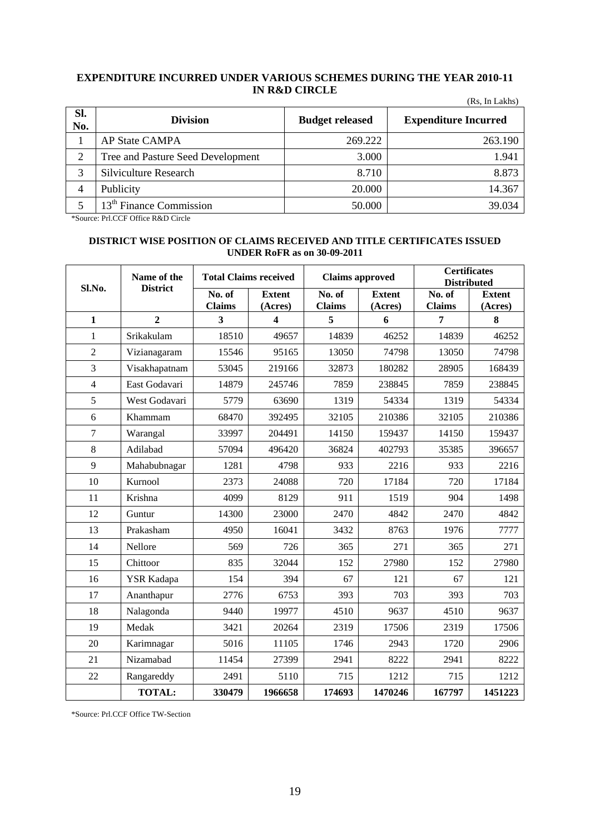#### **EXPENDITURE INCURRED UNDER VARIOUS SCHEMES DURING THE YEAR 2010-11 IN R&D CIRCLE**   $(D<sub>e</sub>,$  In Lakhe)

| Sl.<br>No. | <b>Division</b>                     | <b>Budget released</b> | <b>Expenditure Incurred</b> |
|------------|-------------------------------------|------------------------|-----------------------------|
|            | <b>AP State CAMPA</b>               | 269.222                | 263.190                     |
| 2          | Tree and Pasture Seed Development   | 3.000                  | 1.941                       |
| 3          | Silviculture Research               | 8.710                  | 8.873                       |
| 4          | Publicity                           | 20.000                 | 14.367                      |
|            | 13 <sup>th</sup> Finance Commission | 50.000                 | 39.034                      |

\*Source: Prl.CCF Office R&D Circle

### **DISTRICT WISE POSITION OF CLAIMS RECEIVED AND TITLE CERTIFICATES ISSUED UNDER RoFR as on 30-09-2011**

| Sl.No.         | Name of the<br><b>District</b> | <b>Total Claims received</b> |                          | <b>Claims approved</b>                      |                          | <b>Certificates</b><br><b>Distributed</b>   |                          |  |
|----------------|--------------------------------|------------------------------|--------------------------|---------------------------------------------|--------------------------|---------------------------------------------|--------------------------|--|
|                |                                | No. of<br><b>Claims</b>      | <b>Extent</b><br>(Acres) | $\overline{\text{No. of}}$<br><b>Claims</b> | <b>Extent</b><br>(Acres) | $\overline{\text{No. of}}$<br><b>Claims</b> | <b>Extent</b><br>(Acres) |  |
| $\mathbf{1}$   | $\overline{2}$                 | 3                            | $\overline{\mathbf{4}}$  | 5                                           | 6                        | 7                                           | 8                        |  |
| 1              | Srikakulam                     | 18510                        | 49657                    | 14839                                       | 46252                    | 14839                                       | 46252                    |  |
| $\overline{2}$ | Vizianagaram                   | 15546                        | 95165                    | 13050                                       | 74798                    | 13050                                       | 74798                    |  |
| 3              | Visakhapatnam                  | 53045                        | 219166                   | 32873                                       | 180282                   | 28905                                       | 168439                   |  |
| $\overline{4}$ | East Godavari                  | 14879                        | 245746                   | 7859                                        | 238845                   | 7859                                        | 238845                   |  |
| 5              | West Godavari                  | 5779                         | 63690                    | 1319                                        | 54334                    | 1319                                        | 54334                    |  |
| 6              | Khammam                        | 68470                        | 392495                   | 32105                                       | 210386                   | 32105                                       | 210386                   |  |
| $\overline{7}$ | Warangal                       | 33997                        | 204491                   | 14150                                       | 159437                   | 14150                                       | 159437                   |  |
| 8              | Adilabad                       | 57094                        | 496420                   | 36824                                       | 402793                   | 35385                                       | 396657                   |  |
| 9              | Mahabubnagar                   | 1281                         | 4798                     | 933                                         | 2216                     | 933                                         | 2216                     |  |
| 10             | Kurnool                        | 2373                         | 24088                    | 720                                         | 17184                    | 720                                         | 17184                    |  |
| 11             | Krishna                        | 4099                         | 8129                     | 911                                         | 1519                     | 904                                         | 1498                     |  |
| 12             | Guntur                         | 14300                        | 23000                    | 2470                                        | 4842                     | 2470                                        | 4842                     |  |
| 13             | Prakasham                      | 4950                         | 16041                    | 3432                                        | 8763                     | 1976                                        | 7777                     |  |
| 14             | Nellore                        | 569                          | 726                      | 365                                         | 271                      | 365                                         | 271                      |  |
| 15             | Chittoor                       | 835                          | 32044                    | 152                                         | 27980                    | 152                                         | 27980                    |  |
| 16             | YSR Kadapa                     | 154                          | 394                      | 67                                          | 121                      | 67                                          | 121                      |  |
| 17             | Ananthapur                     | 2776                         | 6753                     | 393                                         | 703                      | 393                                         | 703                      |  |
| 18             | Nalagonda                      | 9440                         | 19977                    | 4510                                        | 9637                     | 4510                                        | 9637                     |  |
| 19             | Medak                          | 3421                         | 20264                    | 2319                                        | 17506                    | 2319                                        | 17506                    |  |
| 20             | Karimnagar                     | 5016                         | 11105                    | 1746                                        | 2943                     | 1720                                        | 2906                     |  |
| 21             | Nizamabad                      | 11454                        | 27399                    | 2941                                        | 8222                     | 2941                                        | 8222                     |  |
| 22             | Rangareddy                     | 2491                         | 5110                     | 715                                         | 1212                     | 715                                         | 1212                     |  |
|                | <b>TOTAL:</b>                  | 330479                       | 1966658                  | 174693                                      | 1470246                  | 167797                                      | 1451223                  |  |

\*Source: Prl.CCF Office TW-Section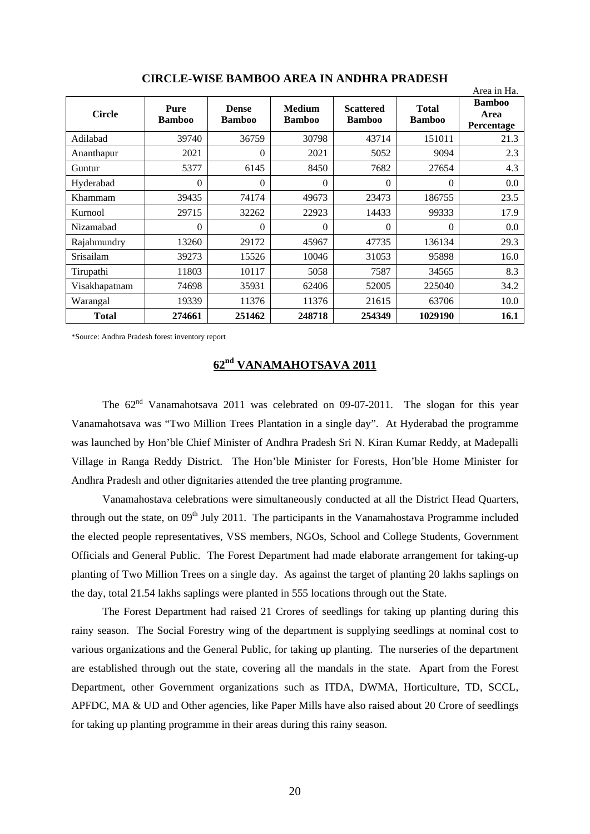|                  |                       |                               |                                |                                   |                               | Area in Ha.                         |
|------------------|-----------------------|-------------------------------|--------------------------------|-----------------------------------|-------------------------------|-------------------------------------|
| <b>Circle</b>    | Pure<br><b>Bamboo</b> | <b>Dense</b><br><b>Bamboo</b> | <b>Medium</b><br><b>Bamboo</b> | <b>Scattered</b><br><b>Bamboo</b> | <b>Total</b><br><b>Bamboo</b> | <b>Bamboo</b><br>Area<br>Percentage |
| Adilabad         | 39740                 | 36759                         | 30798                          | 43714                             | 151011                        | 21.3                                |
| Ananthapur       | 2021                  | 0                             | 2021                           | 5052                              | 9094                          | 2.3                                 |
| Guntur           | 5377                  | 6145                          | 8450                           | 7682                              | 27654                         | 4.3                                 |
| Hyderabad        | $\Omega$              | $\Omega$                      | $\Omega$                       | $\Omega$                          | $\Omega$                      | 0.0                                 |
| Khammam          | 39435                 | 74174                         | 49673                          | 23473                             | 186755                        | 23.5                                |
| Kurnool          | 29715                 | 32262                         | 22923                          | 14433                             | 99333                         | 17.9                                |
| Nizamabad        | $\Omega$              | $\Omega$                      | $\Omega$                       | $\Omega$                          | $\Omega$                      | 0.0                                 |
| Rajahmundry      | 13260                 | 29172                         | 45967                          | 47735                             | 136134                        | 29.3                                |
| <b>Srisailam</b> | 39273                 | 15526                         | 10046                          | 31053                             | 95898                         | 16.0                                |
| Tirupathi        | 11803                 | 10117                         | 5058                           | 7587                              | 34565                         | 8.3                                 |
| Visakhapatnam    | 74698                 | 35931                         | 62406                          | 52005                             | 225040                        | 34.2                                |
| Warangal         | 19339                 | 11376                         | 11376                          | 21615                             | 63706                         | 10.0                                |
| <b>Total</b>     | 274661                | 251462                        | 248718                         | 254349                            | 1029190                       | 16.1                                |

**CIRCLE-WISE BAMBOO AREA IN ANDHRA PRADESH** 

\*Source: Andhra Pradesh forest inventory report

## **62nd VANAMAHOTSAVA 2011**

The  $62<sup>nd</sup>$  Vanamahotsava 2011 was celebrated on 09-07-2011. The slogan for this year Vanamahotsava was "Two Million Trees Plantation in a single day". At Hyderabad the programme was launched by Hon'ble Chief Minister of Andhra Pradesh Sri N. Kiran Kumar Reddy, at Madepalli Village in Ranga Reddy District. The Hon'ble Minister for Forests, Hon'ble Home Minister for Andhra Pradesh and other dignitaries attended the tree planting programme.

Vanamahostava celebrations were simultaneously conducted at all the District Head Quarters, through out the state, on  $09<sup>th</sup>$  July 2011. The participants in the Vanamahostava Programme included the elected people representatives, VSS members, NGOs, School and College Students, Government Officials and General Public. The Forest Department had made elaborate arrangement for taking-up planting of Two Million Trees on a single day. As against the target of planting 20 lakhs saplings on the day, total 21.54 lakhs saplings were planted in 555 locations through out the State.

The Forest Department had raised 21 Crores of seedlings for taking up planting during this rainy season. The Social Forestry wing of the department is supplying seedlings at nominal cost to various organizations and the General Public, for taking up planting. The nurseries of the department are established through out the state, covering all the mandals in the state. Apart from the Forest Department, other Government organizations such as ITDA, DWMA, Horticulture, TD, SCCL, APFDC, MA & UD and Other agencies, like Paper Mills have also raised about 20 Crore of seedlings for taking up planting programme in their areas during this rainy season.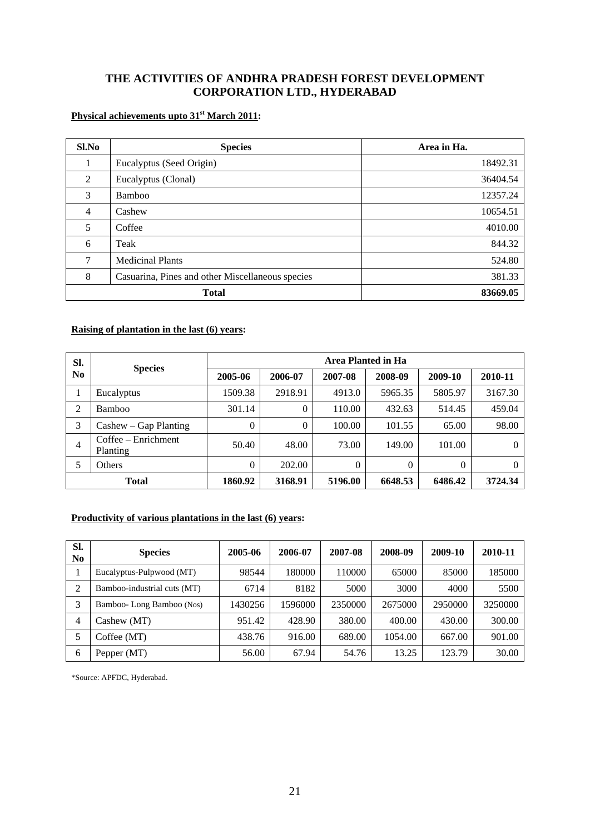## **THE ACTIVITIES OF ANDHRA PRADESH FOREST DEVELOPMENT CORPORATION LTD., HYDERABAD**

## **Physical achievements upto 31st March 2011:**

| Sl.No          | <b>Species</b>                                   | Area in Ha. |
|----------------|--------------------------------------------------|-------------|
|                | Eucalyptus (Seed Origin)                         | 18492.31    |
| 2              | Eucalyptus (Clonal)                              | 36404.54    |
| 3              | Bamboo                                           | 12357.24    |
| $\overline{4}$ | Cashew                                           | 10654.51    |
| 5              | Coffee                                           | 4010.00     |
| 6              | Teak                                             | 844.32      |
| 7              | <b>Medicinal Plants</b>                          | 524.80      |
| 8              | Casuarina, Pines and other Miscellaneous species | 381.33      |
|                | <b>Total</b>                                     | 83669.05    |

### **Raising of plantation in the last (6) years:**

| SI.            |                                   | Area Planted in Ha |          |          |          |          |         |  |  |  |  |
|----------------|-----------------------------------|--------------------|----------|----------|----------|----------|---------|--|--|--|--|
| N <sub>0</sub> | <b>Species</b>                    | 2005-06            | 2006-07  | 2007-08  | 2008-09  | 2009-10  | 2010-11 |  |  |  |  |
| 1              | Eucalyptus                        | 1509.38            | 2918.91  | 4913.0   | 5965.35  | 5805.97  | 3167.30 |  |  |  |  |
| 2              | <b>Bamboo</b>                     | 301.14             | $\Omega$ | 110.00   | 432.63   | 514.45   | 459.04  |  |  |  |  |
| 3              | $Cashew - Gap$ Planting           | $\theta$           | $\Omega$ | 100.00   | 101.55   | 65.00    | 98.00   |  |  |  |  |
| 4              | $Coffee - Enrichment$<br>Planting | 50.40              | 48.00    | 73.00    | 149.00   | 101.00   |         |  |  |  |  |
| 5              | Others                            | $\Omega$           | 202.00   | $\theta$ | $\Omega$ | $\theta$ | 0       |  |  |  |  |
|                | <b>Total</b>                      | 1860.92            | 3168.91  | 5196.00  | 6648.53  | 6486.42  | 3724.34 |  |  |  |  |

## **Productivity of various plantations in the last (6) years:**

| SI.<br>N <sub>0</sub> | <b>Species</b>              | 2005-06 | 2006-07 | 2007-08 | 2008-09 | 2009-10 | 2010-11 |
|-----------------------|-----------------------------|---------|---------|---------|---------|---------|---------|
|                       | Eucalyptus-Pulpwood (MT)    | 98544   | 180000  | 110000  | 65000   | 85000   | 185000  |
| ◠                     | Bamboo-industrial cuts (MT) | 6714    | 8182    | 5000    | 3000    | 4000    | 5500    |
| 3                     | Bamboo-Long Bamboo (Nos)    | 1430256 | 1596000 | 2350000 | 2675000 | 2950000 | 3250000 |
| 4                     | Cashew (MT)                 | 951.42  | 428.90  | 380.00  | 400.00  | 430.00  | 300.00  |
|                       | Coffee (MT)                 | 438.76  | 916.00  | 689.00  | 1054.00 | 667.00  | 901.00  |
| 6                     | Pepper (MT)                 | 56.00   | 67.94   | 54.76   | 13.25   | 123.79  | 30.00   |

\*Source: APFDC, Hyderabad.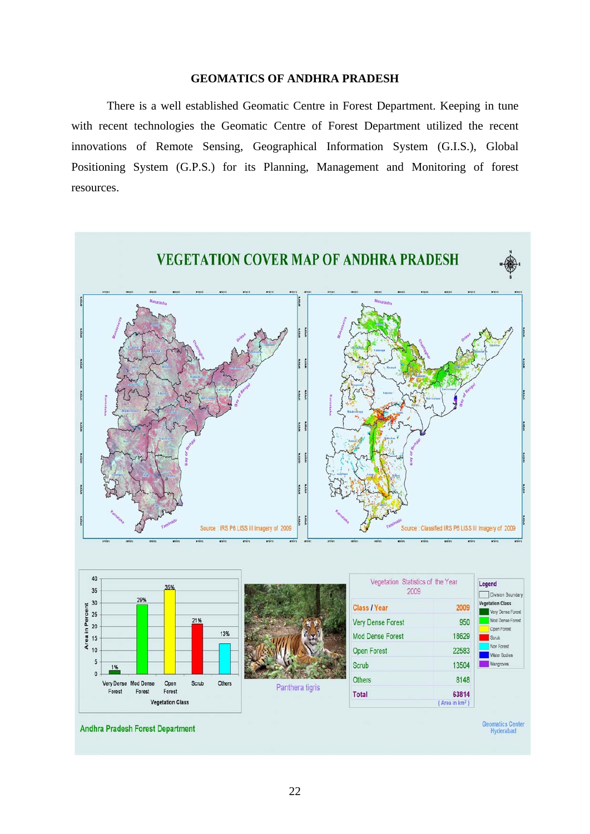### **GEOMATICS OF ANDHRA PRADESH**

There is a well established Geomatic Centre in Forest Department. Keeping in tune with recent technologies the Geomatic Centre of Forest Department utilized the recent innovations of Remote Sensing, Geographical Information System (G.I.S.), Global Positioning System (G.P.S.) for its Planning, Management and Monitoring of forest resources.

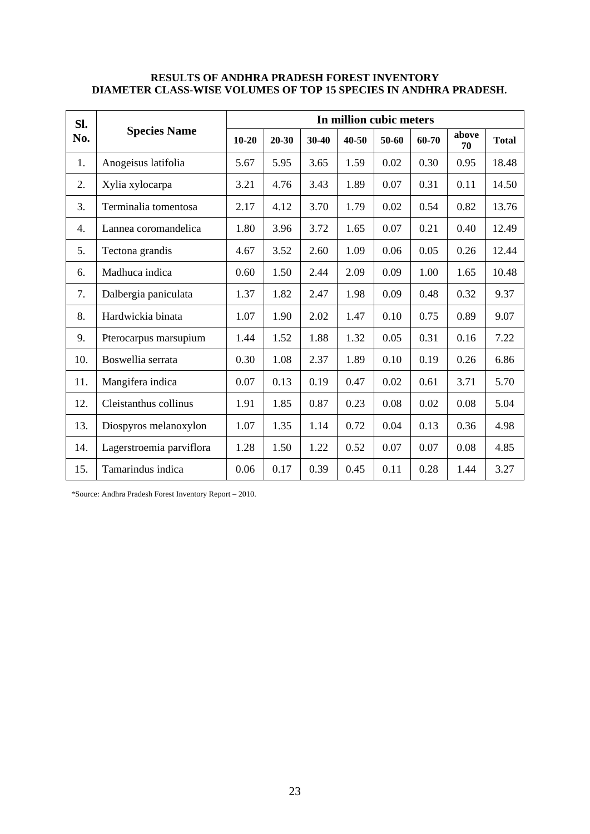### **RESULTS OF ANDHRA PRADESH FOREST INVENTORY DIAMETER CLASS-WISE VOLUMES OF TOP 15 SPECIES IN ANDHRA PRADESH.**

| SI. |                          | In million cubic meters |           |         |       |       |       |             |              |  |  |
|-----|--------------------------|-------------------------|-----------|---------|-------|-------|-------|-------------|--------------|--|--|
| No. | <b>Species Name</b>      | $10 - 20$               | $20 - 30$ | $30-40$ | 40-50 | 50-60 | 60-70 | above<br>70 | <b>Total</b> |  |  |
| 1.  | Anogeisus latifolia      | 5.67                    | 5.95      | 3.65    | 1.59  | 0.02  | 0.30  | 0.95        | 18.48        |  |  |
| 2.  | Xylia xylocarpa          | 3.21                    | 4.76      | 3.43    | 1.89  | 0.07  | 0.31  | 0.11        | 14.50        |  |  |
| 3.  | Terminalia tomentosa     | 2.17                    | 4.12      | 3.70    | 1.79  | 0.02  | 0.54  | 0.82        | 13.76        |  |  |
| 4.  | Lannea coromandelica     | 1.80                    | 3.96      | 3.72    | 1.65  | 0.07  | 0.21  | 0.40        | 12.49        |  |  |
| 5.  | Tectona grandis          | 4.67                    | 3.52      | 2.60    | 1.09  | 0.06  | 0.05  | 0.26        | 12.44        |  |  |
| 6.  | Madhuca indica           | 0.60                    | 1.50      | 2.44    | 2.09  | 0.09  | 1.00  | 1.65        | 10.48        |  |  |
| 7.  | Dalbergia paniculata     | 1.37                    | 1.82      | 2.47    | 1.98  | 0.09  | 0.48  | 0.32        | 9.37         |  |  |
| 8.  | Hardwickia binata        | 1.07                    | 1.90      | 2.02    | 1.47  | 0.10  | 0.75  | 0.89        | 9.07         |  |  |
| 9.  | Pterocarpus marsupium    | 1.44                    | 1.52      | 1.88    | 1.32  | 0.05  | 0.31  | 0.16        | 7.22         |  |  |
| 10. | Boswellia serrata        | 0.30                    | 1.08      | 2.37    | 1.89  | 0.10  | 0.19  | 0.26        | 6.86         |  |  |
| 11. | Mangifera indica         | 0.07                    | 0.13      | 0.19    | 0.47  | 0.02  | 0.61  | 3.71        | 5.70         |  |  |
| 12. | Cleistanthus collinus    | 1.91                    | 1.85      | 0.87    | 0.23  | 0.08  | 0.02  | 0.08        | 5.04         |  |  |
| 13. | Diospyros melanoxylon    | 1.07                    | 1.35      | 1.14    | 0.72  | 0.04  | 0.13  | 0.36        | 4.98         |  |  |
| 14. | Lagerstroemia parviflora | 1.28                    | 1.50      | 1.22    | 0.52  | 0.07  | 0.07  | 0.08        | 4.85         |  |  |
| 15. | Tamarindus indica        | 0.06                    | 0.17      | 0.39    | 0.45  | 0.11  | 0.28  | 1.44        | 3.27         |  |  |

\*Source: Andhra Pradesh Forest Inventory Report – 2010.